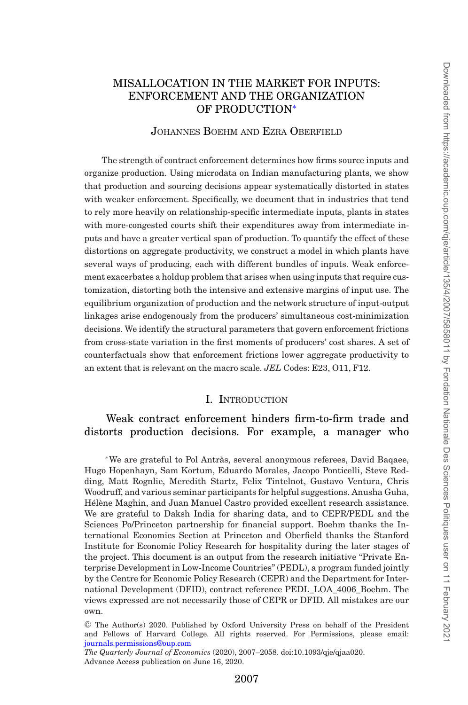# MISALLOCATION IN THE MARKET FOR INPUTS: ENFORCEMENT AND THE ORGANIZATION OF PRODUCTION[∗](#page-0-0)

# JOHANNES BOEHM AND EZRA OBERFIELD

The strength of contract enforcement determines how firms source inputs and organize production. Using microdata on Indian manufacturing plants, we show that production and sourcing decisions appear systematically distorted in states with weaker enforcement. Specifically, we document that in industries that tend to rely more heavily on relationship-specific intermediate inputs, plants in states with more-congested courts shift their expenditures away from intermediate inputs and have a greater vertical span of production. To quantify the effect of these distortions on aggregate productivity, we construct a model in which plants have several ways of producing, each with different bundles of inputs. Weak enforcement exacerbates a holdup problem that arises when using inputs that require customization, distorting both the intensive and extensive margins of input use. The equilibrium organization of production and the network structure of input-output linkages arise endogenously from the producers' simultaneous cost-minimization decisions. We identify the structural parameters that govern enforcement frictions from cross-state variation in the first moments of producers' cost shares. A set of counterfactuals show that enforcement frictions lower aggregate productivity to an extent that is relevant on the macro scale. *JEL* Codes: E23, O11, F12.

# I. INTRODUCTION

# Weak contract enforcement hinders firm-to-firm trade and distorts production decisions. For example, a manager who

<span id="page-0-0"></span><sup>∗</sup>We are grateful to Pol Antras, several anonymous referees, David Baqaee, ` Hugo Hopenhayn, Sam Kortum, Eduardo Morales, Jacopo Ponticelli, Steve Redding, Matt Rognlie, Meredith Startz, Felix Tintelnot, Gustavo Ventura, Chris Woodruff, and various seminar participants for helpful suggestions. Anusha Guha, Hélène Maghin, and Juan Manuel Castro provided excellent research assistance. We are grateful to Daksh India for sharing data, and to CEPR/PEDL and the Sciences Po/Princeton partnership for financial support. Boehm thanks the International Economics Section at Princeton and Oberfield thanks the Stanford Institute for Economic Policy Research for hospitality during the later stages of the project. This document is an output from the research initiative "Private Enterprise Development in Low-Income Countries" (PEDL), a program funded jointly by the Centre for Economic Policy Research (CEPR) and the Department for International Development (DFID), contract reference PEDL\_LOA\_4006\_Boehm. The views expressed are not necessarily those of CEPR or DFID. All mistakes are our own.

<sup>C</sup> The Author(s) 2020. Published by Oxford University Press on behalf of the President and Fellows of Harvard College. All rights reserved. For Permissions, please email: [journals.permissions@oup.com](mailto:journals.permissions@oup.com)

*The Quarterly Journal of Economics* (2020), 2007–2058. doi:10.1093/qje/qjaa020. Advance Access publication on June 16, 2020.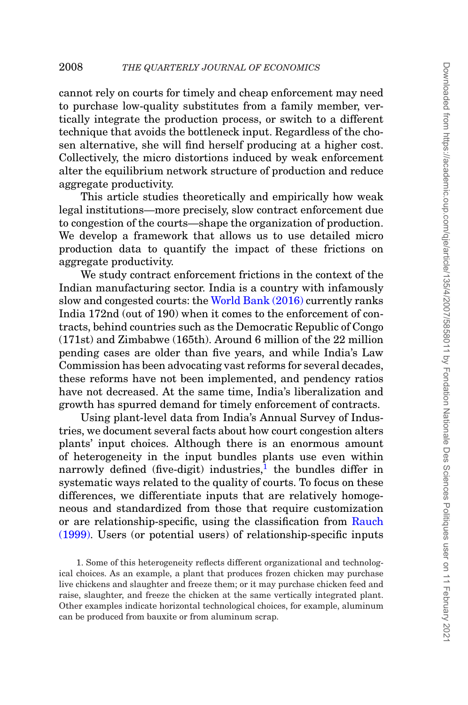cannot rely on courts for timely and cheap enforcement may need to purchase low-quality substitutes from a family member, vertically integrate the production process, or switch to a different technique that avoids the bottleneck input. Regardless of the chosen alternative, she will find herself producing at a higher cost. Collectively, the micro distortions induced by weak enforcement alter the equilibrium network structure of production and reduce aggregate productivity.

This article studies theoretically and empirically how weak legal institutions—more precisely, slow contract enforcement due to congestion of the courts—shape the organization of production. We develop a framework that allows us to use detailed micro production data to quantify the impact of these frictions on aggregate productivity.

We study contract enforcement frictions in the context of the Indian manufacturing sector. India is a country with infamously slow and congested courts: the [World Bank \(2016\)](#page-51-0) currently ranks India 172nd (out of 190) when it comes to the enforcement of contracts, behind countries such as the Democratic Republic of Congo (171st) and Zimbabwe (165th). Around 6 million of the 22 million pending cases are older than five years, and while India's Law Commission has been advocating vast reforms for several decades, these reforms have not been implemented, and pendency ratios have not decreased. At the same time, India's liberalization and growth has spurred demand for timely enforcement of contracts.

Using plant-level data from India's Annual Survey of Industries, we document several facts about how court congestion alters plants' input choices. Although there is an enormous amount of heterogeneity in the input bundles plants use even within narrowly defined (five-digit) industries,<sup>1</sup> the bundles differ in systematic ways related to the quality of courts. To focus on these differences, we differentiate inputs that are relatively homogeneous and standardized from those that require customization or are relationship-specific, using the classification from [Rauch](#page-50-0) [\(1999\).](#page-50-0) Users (or potential users) of relationship-specific inputs

<span id="page-1-0"></span>1. Some of this heterogeneity reflects different organizational and technological choices. As an example, a plant that produces frozen chicken may purchase live chickens and slaughter and freeze them; or it may purchase chicken feed and raise, slaughter, and freeze the chicken at the same vertically integrated plant. Other examples indicate horizontal technological choices, for example, aluminum can be produced from bauxite or from aluminum scrap.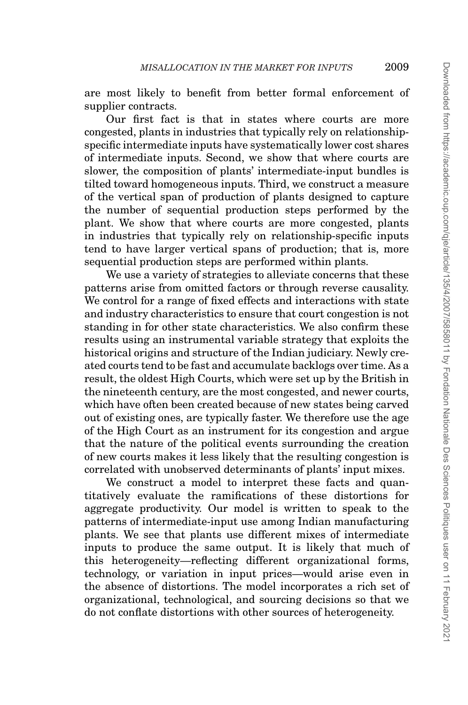are most likely to benefit from better formal enforcement of supplier contracts.

Our first fact is that in states where courts are more congested, plants in industries that typically rely on relationshipspecific intermediate inputs have systematically lower cost shares of intermediate inputs. Second, we show that where courts are slower, the composition of plants' intermediate-input bundles is tilted toward homogeneous inputs. Third, we construct a measure of the vertical span of production of plants designed to capture the number of sequential production steps performed by the plant. We show that where courts are more congested, plants in industries that typically rely on relationship-specific inputs tend to have larger vertical spans of production; that is, more sequential production steps are performed within plants.

We use a variety of strategies to alleviate concerns that these patterns arise from omitted factors or through reverse causality. We control for a range of fixed effects and interactions with state and industry characteristics to ensure that court congestion is not standing in for other state characteristics. We also confirm these results using an instrumental variable strategy that exploits the historical origins and structure of the Indian judiciary. Newly created courts tend to be fast and accumulate backlogs over time. As a result, the oldest High Courts, which were set up by the British in the nineteenth century, are the most congested, and newer courts, which have often been created because of new states being carved out of existing ones, are typically faster. We therefore use the age of the High Court as an instrument for its congestion and argue that the nature of the political events surrounding the creation of new courts makes it less likely that the resulting congestion is correlated with unobserved determinants of plants' input mixes.

We construct a model to interpret these facts and quantitatively evaluate the ramifications of these distortions for aggregate productivity. Our model is written to speak to the patterns of intermediate-input use among Indian manufacturing plants. We see that plants use different mixes of intermediate inputs to produce the same output. It is likely that much of this heterogeneity—reflecting different organizational forms, technology, or variation in input prices—would arise even in the absence of distortions. The model incorporates a rich set of organizational, technological, and sourcing decisions so that we do not conflate distortions with other sources of heterogeneity.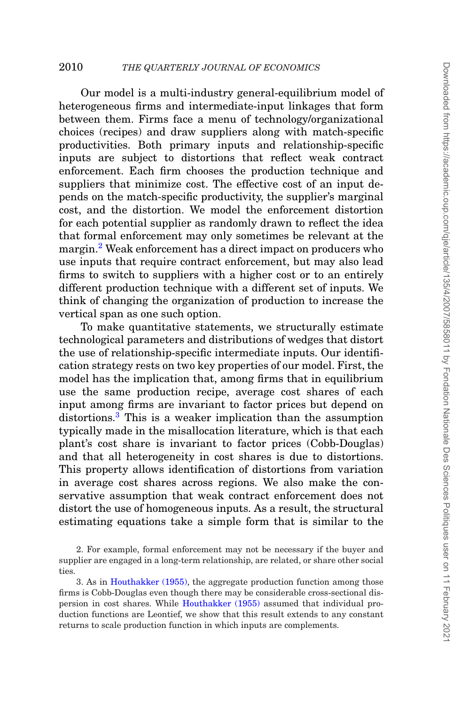Our model is a multi-industry general-equilibrium model of heterogeneous firms and intermediate-input linkages that form between them. Firms face a menu of technology/organizational choices (recipes) and draw suppliers along with match-specific productivities. Both primary inputs and relationship-specific inputs are subject to distortions that reflect weak contract enforcement. Each firm chooses the production technique and suppliers that minimize cost. The effective cost of an input depends on the match-specific productivity, the supplier's marginal cost, and the distortion. We model the enforcement distortion for each potential supplier as randomly drawn to reflect the idea that formal enforcement may only sometimes be relevant at the margin.<sup>[2](#page-3-0)</sup> Weak enforcement has a direct impact on producers who use inputs that require contract enforcement, but may also lead firms to switch to suppliers with a higher cost or to an entirely different production technique with a different set of inputs. We think of changing the organization of production to increase the vertical span as one such option.

To make quantitative statements, we structurally estimate technological parameters and distributions of wedges that distort the use of relationship-specific intermediate inputs. Our identification strategy rests on two key properties of our model. First, the model has the implication that, among firms that in equilibrium use the same production recipe, average cost shares of each input among firms are invariant to factor prices but depend on distortions.[3](#page-3-1) This is a weaker implication than the assumption typically made in the misallocation literature, which is that each plant's cost share is invariant to factor prices (Cobb-Douglas) and that all heterogeneity in cost shares is due to distortions. This property allows identification of distortions from variation in average cost shares across regions. We also make the conservative assumption that weak contract enforcement does not distort the use of homogeneous inputs. As a result, the structural estimating equations take a simple form that is similar to the

<span id="page-3-0"></span><sup>2.</sup> For example, formal enforcement may not be necessary if the buyer and supplier are engaged in a long-term relationship, are related, or share other social ties.

<span id="page-3-1"></span><sup>3.</sup> As in [Houthakker \(1955\),](#page-49-0) the aggregate production function among those firms is Cobb-Douglas even though there may be considerable cross-sectional dispersion in cost shares. While [Houthakker \(1955\)](#page-49-0) assumed that individual production functions are Leontief, we show that this result extends to any constant returns to scale production function in which inputs are complements.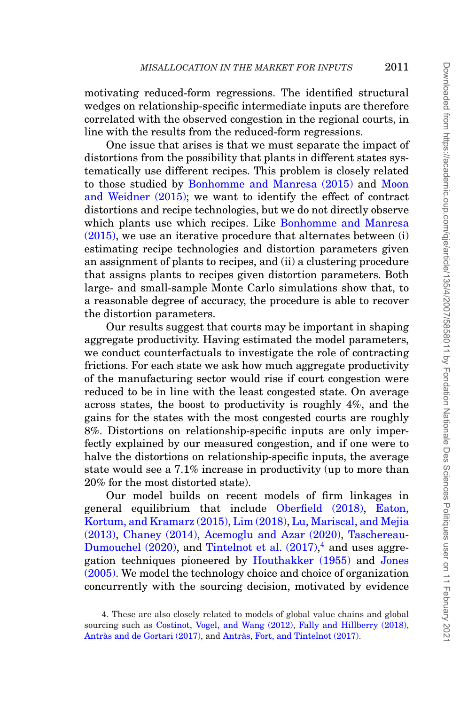motivating reduced-form regressions. The identified structural wedges on relationship-specific intermediate inputs are therefore correlated with the observed congestion in the regional courts, in line with the results from the reduced-form regressions.

One issue that arises is that we must separate the impact of distortions from the possibility that plants in different states systematically use different recipes. This problem is closely related to those studied by [Bonhomme and Manresa \(2015\)](#page-49-1) and [Moon](#page-50-1) [and Weidner \(2015\);](#page-50-1) we want to identify the effect of contract distortions and recipe technologies, but we do not directly observe which plants use which recipes. Like [Bonhomme and Manresa](#page-49-1) [\(2015\),](#page-49-1) we use an iterative procedure that alternates between (i) estimating recipe technologies and distortion parameters given an assignment of plants to recipes, and (ii) a clustering procedure that assigns plants to recipes given distortion parameters. Both large- and small-sample Monte Carlo simulations show that, to a reasonable degree of accuracy, the procedure is able to recover the distortion parameters.

Our results suggest that courts may be important in shaping aggregate productivity. Having estimated the model parameters, we conduct counterfactuals to investigate the role of contracting frictions. For each state we ask how much aggregate productivity of the manufacturing sector would rise if court congestion were reduced to be in line with the least congested state. On average across states, the boost to productivity is roughly 4%, and the gains for the states with the most congested courts are roughly 8%. Distortions on relationship-specific inputs are only imperfectly explained by our measured congestion, and if one were to halve the distortions on relationship-specific inputs, the average state would see a 7.1% increase in productivity (up to more than 20% for the most distorted state).

Our model builds on recent models of firm linkages in general equilibrium that include [Oberfield \(2018\),](#page-50-2) [Eaton,](#page-49-2) [Kortum, and Kramarz \(2015\),](#page-49-2) [Lim \(2018\),](#page-50-3) [Lu, Mariscal, and Mejia](#page-50-4) [\(2013\),](#page-50-4) [Chaney \(2014\),](#page-49-3) [Acemoglu and Azar \(2020\),](#page-48-0) [Taschereau-](#page-51-1)[Dumouchel \(2020\),](#page-51-1) and [Tintelnot et al. \(2017\),](#page-51-2)<sup>[4](#page-4-0)</sup> and uses aggregation techniques pioneered by [Houthakker \(1955\)](#page-49-0) and [Jones](#page-49-4) [\(2005\).](#page-49-4) We model the technology choice and choice of organization concurrently with the sourcing decision, motivated by evidence

<span id="page-4-0"></span><sup>4.</sup> These are also closely related to models of global value chains and global sourcing such as [Costinot, Vogel, and Wang \(2012\),](#page-49-5) [Fally and Hillberry \(2018\),](#page-49-6) Antràs and de Gortari (2017), and Antràs, Fort, and Tintelnot (2017).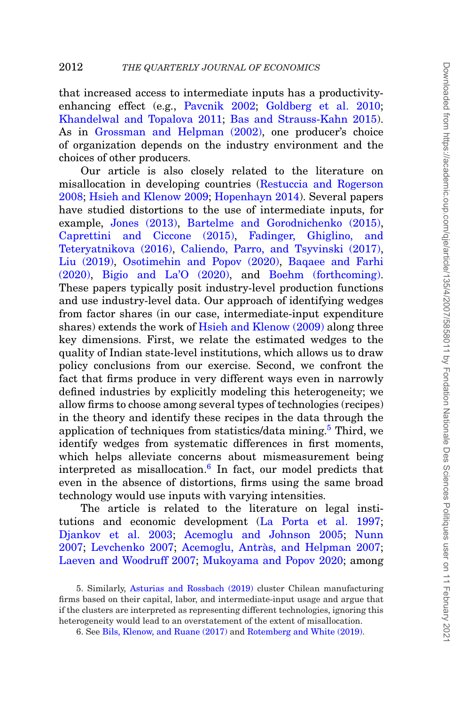that increased access to intermediate inputs has a productivityenhancing effect (e.g., [Pavcnik 2002;](#page-50-5) [Goldberg et al. 2010;](#page-49-7) [Khandelwal and Topalova 2011;](#page-50-6) [Bas and Strauss-Kahn 2015\)](#page-48-3). As in [Grossman and Helpman \(2002\),](#page-49-8) one producer's choice of organization depends on the industry environment and the choices of other producers.

Our article is also closely related to the literature on misallocation in developing countries [\(Restuccia and Rogerson](#page-50-7) [2008;](#page-50-7) [Hsieh and Klenow 2009;](#page-49-9) [Hopenhayn 2014\)](#page-49-10). Several papers have studied distortions to the use of intermediate inputs, for example, [Jones \(2013\),](#page-50-8) [Bartelme and Gorodnichenko \(2015\),](#page-48-4) [Caprettini and Ciccone \(2015\),](#page-49-11) [Fadinger, Ghiglino, and](#page-49-12) [Teteryatnikova \(2016\),](#page-49-12) [Caliendo, Parro, and Tsyvinski \(2017\),](#page-49-13) [Liu \(2019\),](#page-50-9) [Osotimehin and Popov \(2020\),](#page-50-10) [Baqaee and Farhi](#page-48-5) [\(2020\),](#page-48-5) [Bigio and La'O \(2020\),](#page-48-6) and [Boehm \(forthcoming\).](#page-49-14) These papers typically posit industry-level production functions and use industry-level data. Our approach of identifying wedges from factor shares (in our case, intermediate-input expenditure shares) extends the work of [Hsieh and Klenow \(2009\)](#page-49-9) along three key dimensions. First, we relate the estimated wedges to the quality of Indian state-level institutions, which allows us to draw policy conclusions from our exercise. Second, we confront the fact that firms produce in very different ways even in narrowly defined industries by explicitly modeling this heterogeneity; we allow firms to choose among several types of technologies (recipes) in the theory and identify these recipes in the data through the application of techniques from statistics/data mining.<sup>[5](#page-5-0)</sup> Third, we identify wedges from systematic differences in first moments, which helps alleviate concerns about mismeasurement being interpreted as misallocation.<sup>6</sup> In fact, our model predicts that even in the absence of distortions, firms using the same broad technology would use inputs with varying intensities.

The article is related to the literature on legal institutions and economic development [\(La Porta et al. 1997;](#page-50-11) [Djankov et al. 2003;](#page-49-15) [Acemoglu and Johnson 2005;](#page-48-7) [Nunn](#page-50-12) [2007;](#page-50-12) [Levchenko 2007;](#page-50-13) Acemoglu, Antràs, and Helpman 2007; [Laeven and Woodruff 2007;](#page-50-14) [Mukoyama and Popov 2020;](#page-50-15) among

<span id="page-5-0"></span><sup>5.</sup> Similarly, [Asturias and Rossbach \(2019\)](#page-48-9) cluster Chilean manufacturing firms based on their capital, labor, and intermediate-input usage and argue that if the clusters are interpreted as representing different technologies, ignoring this heterogeneity would lead to an overstatement of the extent of misallocation.

<span id="page-5-1"></span><sup>6.</sup> See [Bils, Klenow, and Ruane \(2017\)](#page-48-10) and [Rotemberg and White \(2019\).](#page-51-3)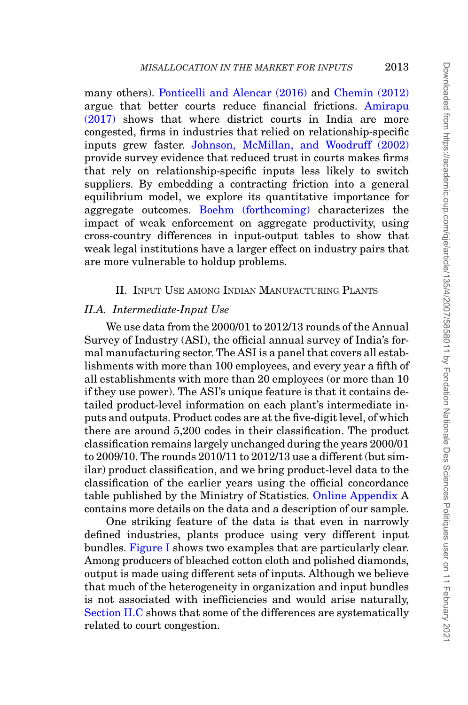many others). [Ponticelli and Alencar \(2016\)](#page-50-16) and [Chemin \(2012\)](#page-49-16) argue that better courts reduce financial frictions. [Amirapu](#page-48-11) [\(2017\)](#page-48-11) shows that where district courts in India are more congested, firms in industries that relied on relationship-specific inputs grew faster. [Johnson, McMillan, and Woodruff \(2002\)](#page-49-17) provide survey evidence that reduced trust in courts makes firms that rely on relationship-specific inputs less likely to switch suppliers. By embedding a contracting friction into a general equilibrium model, we explore its quantitative importance for aggregate outcomes. [Boehm \(forthcoming\)](#page-49-14) characterizes the impact of weak enforcement on aggregate productivity, using cross-country differences in input-output tables to show that weak legal institutions have a larger effect on industry pairs that are more vulnerable to holdup problems.

# II. INPUT USE AMONG INDIAN MANUFACTURING PLANTS

## *II.A. Intermediate-Input Use*

<span id="page-6-0"></span>We use data from the 2000/01 to 2012/13 rounds of the Annual Survey of Industry (ASI), the official annual survey of India's formal manufacturing sector. The ASI is a panel that covers all establishments with more than 100 employees, and every year a fifth of all establishments with more than 20 employees (or more than 10 if they use power). The ASI's unique feature is that it contains detailed product-level information on each plant's intermediate inputs and outputs. Product codes are at the five-digit level, of which there are around 5,200 codes in their classification. The product classification remains largely unchanged during the years 2000/01 to 2009/10. The rounds 2010/11 to 2012/13 use a different (but similar) product classification, and we bring product-level data to the classification of the earlier years using the official concordance table published by the Ministry of Statistics. [Online Appendix](file:qje.oxfordjournals.org) A contains more details on the data and a description of our sample.

One striking feature of the data is that even in narrowly defined industries, plants produce using very different input bundles. [Figure I](#page-7-0) shows two examples that are particularly clear. Among producers of bleached cotton cloth and polished diamonds, output is made using different sets of inputs. Although we believe that much of the heterogeneity in organization and input bundles is not associated with inefficiencies and would arise naturally, [Section II.C](#page-11-0) shows that some of the differences are systematically related to court congestion.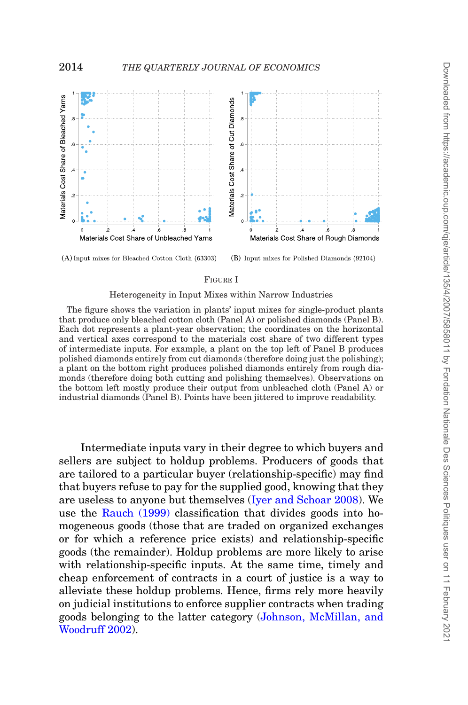<span id="page-7-0"></span>

 $(A)$  Input mixes for Bleached Cotton Cloth (63303)  $(B)$ 



#### FIGURE I

#### Heterogeneity in Input Mixes within Narrow Industries

The figure shows the variation in plants' input mixes for single-product plants that produce only bleached cotton cloth (Panel A) or polished diamonds (Panel B). Each dot represents a plant-year observation; the coordinates on the horizontal and vertical axes correspond to the materials cost share of two different types of intermediate inputs. For example, a plant on the top left of Panel B produces polished diamonds entirely from cut diamonds (therefore doing just the polishing); a plant on the bottom right produces polished diamonds entirely from rough diamonds (therefore doing both cutting and polishing themselves). Observations on the bottom left mostly produce their output from unbleached cloth (Panel A) or industrial diamonds (Panel B). Points have been jittered to improve readability.

Intermediate inputs vary in their degree to which buyers and sellers are subject to holdup problems. Producers of goods that are tailored to a particular buyer (relationship-specific) may find that buyers refuse to pay for the supplied good, knowing that they are useless to anyone but themselves [\(Iyer and Schoar 2008\)](#page-49-18). We use the [Rauch \(1999\)](#page-50-0) classification that divides goods into homogeneous goods (those that are traded on organized exchanges or for which a reference price exists) and relationship-specific goods (the remainder). Holdup problems are more likely to arise with relationship-specific inputs. At the same time, timely and cheap enforcement of contracts in a court of justice is a way to alleviate these holdup problems. Hence, firms rely more heavily on judicial institutions to enforce supplier contracts when trading goods belonging to the latter category [\(Johnson, McMillan, and](#page-49-17) [Woodruff 2002\)](#page-49-17).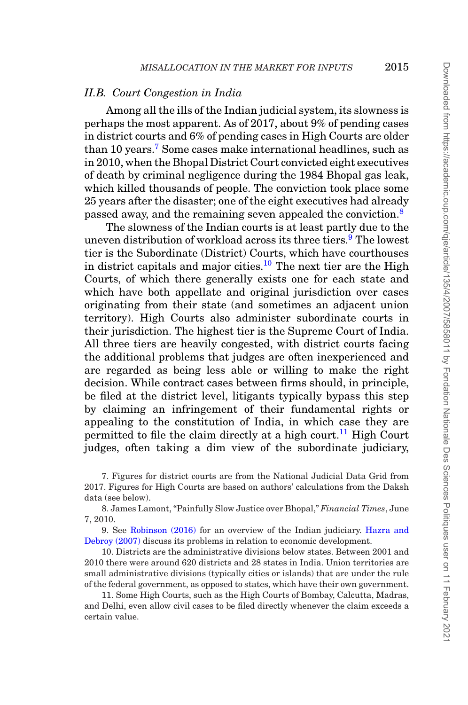#### *II.B. Court Congestion in India*

<span id="page-8-5"></span>Among all the ills of the Indian judicial system, its slowness is perhaps the most apparent. As of 2017, about 9% of pending cases in district courts and 6% of pending cases in High Courts are older than 10 years.<sup>[7](#page-8-0)</sup> Some cases make international headlines, such as in 2010, when the Bhopal District Court convicted eight executives of death by criminal negligence during the 1984 Bhopal gas leak, which killed thousands of people. The conviction took place some 25 years after the disaster; one of the eight executives had already passed away, and the remaining seven appealed the conviction.<sup>[8](#page-8-1)</sup>

The slowness of the Indian courts is at least partly due to the uneven distribution of workload across its three tiers.<sup>9</sup> The lowest tier is the Subordinate (District) Courts, which have courthouses in district capitals and major cities.<sup>10</sup> The next tier are the High Courts, of which there generally exists one for each state and which have both appellate and original jurisdiction over cases originating from their state (and sometimes an adjacent union territory). High Courts also administer subordinate courts in their jurisdiction. The highest tier is the Supreme Court of India. All three tiers are heavily congested, with district courts facing the additional problems that judges are often inexperienced and are regarded as being less able or willing to make the right decision. While contract cases between firms should, in principle, be filed at the district level, litigants typically bypass this step by claiming an infringement of their fundamental rights or appealing to the constitution of India, in which case they are permitted to file the claim directly at a high court.<sup>11</sup> High Court judges, often taking a dim view of the subordinate judiciary,

<span id="page-8-0"></span>7. Figures for district courts are from the National Judicial Data Grid from 2017. Figures for High Courts are based on authors' calculations from the Daksh data (see below).

<span id="page-8-1"></span>8. James Lamont, "Painfully Slow Justice over Bhopal," *Financial Times*, June 7, 2010.

<span id="page-8-2"></span>9. See [Robinson \(2016\)](#page-50-17) for an overview of the Indian judiciary. [Hazra and](#page-49-19) [Debroy \(2007\)](#page-49-19) discuss its problems in relation to economic development.

<span id="page-8-3"></span>10. Districts are the administrative divisions below states. Between 2001 and 2010 there were around 620 districts and 28 states in India. Union territories are small administrative divisions (typically cities or islands) that are under the rule of the federal government, as opposed to states, which have their own government.

<span id="page-8-4"></span>11. Some High Courts, such as the High Courts of Bombay, Calcutta, Madras, and Delhi, even allow civil cases to be filed directly whenever the claim exceeds a certain value.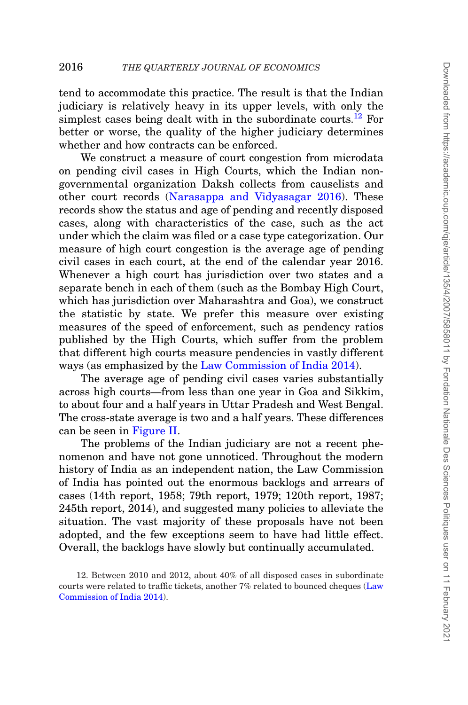tend to accommodate this practice. The result is that the Indian judiciary is relatively heavy in its upper levels, with only the simplest cases being dealt with in the subordinate courts.<sup>12</sup> For better or worse, the quality of the higher judiciary determines whether and how contracts can be enforced.

We construct a measure of court congestion from microdata on pending civil cases in High Courts, which the Indian nongovernmental organization Daksh collects from causelists and other court records [\(Narasappa and Vidyasagar 2016\)](#page-50-18). These records show the status and age of pending and recently disposed cases, along with characteristics of the case, such as the act under which the claim was filed or a case type categorization. Our measure of high court congestion is the average age of pending civil cases in each court, at the end of the calendar year 2016. Whenever a high court has jurisdiction over two states and a separate bench in each of them (such as the Bombay High Court, which has jurisdiction over Maharashtra and Goa), we construct the statistic by state. We prefer this measure over existing measures of the speed of enforcement, such as pendency ratios published by the High Courts, which suffer from the problem that different high courts measure pendencies in vastly different ways (as emphasized by the [Law Commission of India 2014\)](#page-50-19).

The average age of pending civil cases varies substantially across high courts—from less than one year in Goa and Sikkim, to about four and a half years in Uttar Pradesh and West Bengal. The cross-state average is two and a half years. These differences can be seen in [Figure II.](#page-10-0)

The problems of the Indian judiciary are not a recent phenomenon and have not gone unnoticed. Throughout the modern history of India as an independent nation, the Law Commission of India has pointed out the enormous backlogs and arrears of cases (14th report, 1958; 79th report, 1979; 120th report, 1987; 245th report, 2014), and suggested many policies to alleviate the situation. The vast majority of these proposals have not been adopted, and the few exceptions seem to have had little effect. Overall, the backlogs have slowly but continually accumulated.

<span id="page-9-0"></span><sup>12.</sup> Between 2010 and 2012, about 40% of all disposed cases in subordinate courts were related to traffic tickets, another 7% related to bounced cheques [\(Law](#page-50-19) [Commission of India 2014\)](#page-50-19).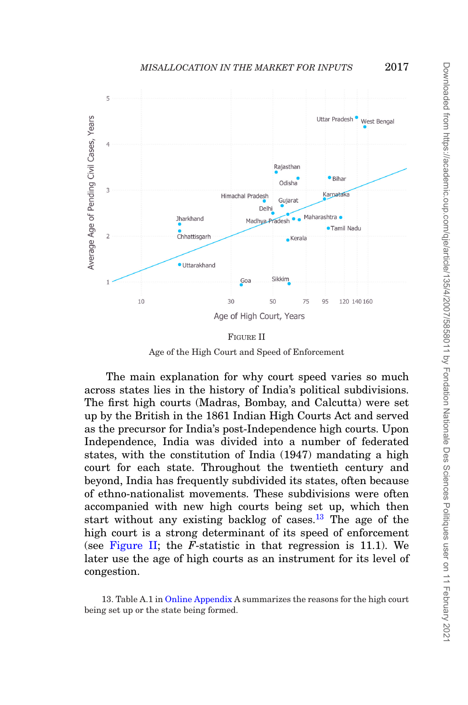<span id="page-10-0"></span>

FIGURE II Age of the High Court and Speed of Enforcement

The main explanation for why court speed varies so much across states lies in the history of India's political subdivisions. The first high courts (Madras, Bombay, and Calcutta) were set up by the British in the 1861 Indian High Courts Act and served as the precursor for India's post-Independence high courts. Upon Independence, India was divided into a number of federated states, with the constitution of India (1947) mandating a high court for each state. Throughout the twentieth century and beyond, India has frequently subdivided its states, often because of ethno-nationalist movements. These subdivisions were often accompanied with new high courts being set up, which then start without any existing backlog of cases.<sup>[13](#page-10-1)</sup> The age of the high court is a strong determinant of its speed of enforcement (see [Figure II;](#page-10-0) the *F*-statistic in that regression is 11.1). We later use the age of high courts as an instrument for its level of congestion.

<span id="page-10-1"></span>13. Table A.1 in [Online Appendix](file:qje.oxfordjournals.org) A summarizes the reasons for the high court being set up or the state being formed.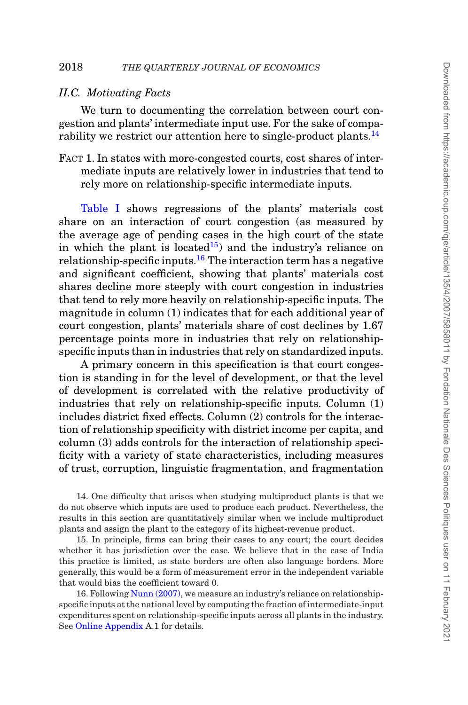## *II.C. Motivating Facts*

<span id="page-11-0"></span>We turn to documenting the correlation between court congestion and plants' intermediate input use. For the sake of compa-rability we restrict our attention here to single-product plants.<sup>[14](#page-11-1)</sup>

<span id="page-11-4"></span>FACT 1. In states with more-congested courts, cost shares of intermediate inputs are relatively lower in industries that tend to rely more on relationship-specific intermediate inputs.

[Table I](#page-12-0) shows regressions of the plants' materials cost share on an interaction of court congestion (as measured by the average age of pending cases in the high court of the state in which the plant is located<sup>15</sup>) and the industry's reliance on relationship-specific inputs.<sup>[16](#page-11-3)</sup> The interaction term has a negative and significant coefficient, showing that plants' materials cost shares decline more steeply with court congestion in industries that tend to rely more heavily on relationship-specific inputs. The magnitude in column (1) indicates that for each additional year of court congestion, plants' materials share of cost declines by 1.67 percentage points more in industries that rely on relationshipspecific inputs than in industries that rely on standardized inputs.

A primary concern in this specification is that court congestion is standing in for the level of development, or that the level of development is correlated with the relative productivity of industries that rely on relationship-specific inputs. Column (1) includes district fixed effects. Column (2) controls for the interaction of relationship specificity with district income per capita, and column (3) adds controls for the interaction of relationship specificity with a variety of state characteristics, including measures of trust, corruption, linguistic fragmentation, and fragmentation

<span id="page-11-1"></span>14. One difficulty that arises when studying multiproduct plants is that we do not observe which inputs are used to produce each product. Nevertheless, the results in this section are quantitatively similar when we include multiproduct plants and assign the plant to the category of its highest-revenue product.

<span id="page-11-2"></span>15. In principle, firms can bring their cases to any court; the court decides whether it has jurisdiction over the case. We believe that in the case of India this practice is limited, as state borders are often also language borders. More generally, this would be a form of measurement error in the independent variable that would bias the coefficient toward 0.

<span id="page-11-3"></span>16. Following [Nunn \(2007\),](#page-50-12) we measure an industry's reliance on relationshipspecific inputs at the national level by computing the fraction of intermediate-input expenditures spent on relationship-specific inputs across all plants in the industry. See [Online Appendix](file:qje.oxfordjournals.org) A.1 for details.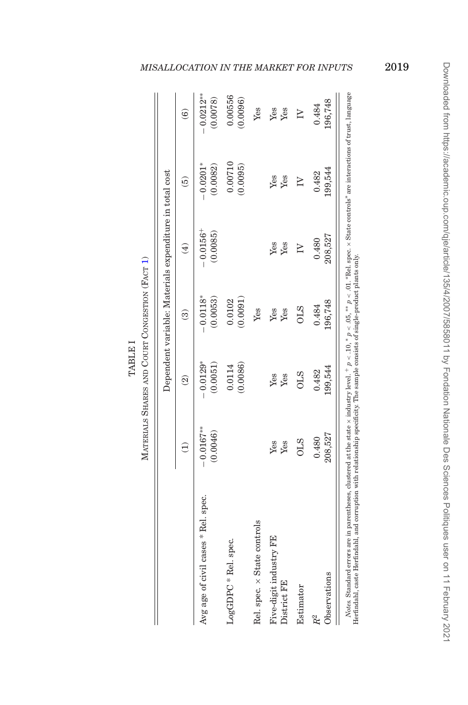|                                       |                         |                          |                        | Dependent variable: Materials expenditure in total cost |                        |                          |
|---------------------------------------|-------------------------|--------------------------|------------------------|---------------------------------------------------------|------------------------|--------------------------|
|                                       |                         |                          |                        |                                                         |                        |                          |
|                                       | $\widehat{\Xi}$         | $\widehat{\mathfrak{D}}$ | ව                      | $\bigoplus$                                             | $\widehat{5}$          | $\widehat{\mathbf{e}}$   |
| Avg age of civil cases * Rel. spec.   | $-0.0167**$<br>(0.0046) | $-0.0129*$<br>(0.0051)   | $-0.0118*$<br>(0.0053) | $-0.0156^{+}$<br>(0.0085)                               | $-0.0201*$<br>(0.0082) | $-0.0212***$<br>(0.0078) |
| LogGDPC * Rel. spec.                  |                         | (0.0086)<br>0.0114       | (0.0091)<br>0.0102     |                                                         | 0.00710<br>(0.0095)    | 0.00556<br>(0.0096)      |
| Rel. spec. x State controls           |                         |                          | Yes                    |                                                         |                        | Yes                      |
| Five-digit industry FE<br>District FE | Yes<br>Yes              | Yes<br>Yes               | Yes<br>Yes             | Yes<br>Yes                                              | Yes<br>Yes             | Yes<br>Yes               |
| Estimator                             | <b>OLS</b>              | <b>OLS</b>               | <b>OLS</b>             | $\geq$                                                  | $\overline{N}$         | $\geq$                   |
| Observations<br>R <sup>2</sup>        | 208,527<br>0.480        | 199,544<br>0.482         | 196,748<br>0.484       | 208,527<br>0.480                                        | 199,544<br>0.482       | 196,748<br>0.484         |

<span id="page-12-0"></span>TABLE I TABLE I

*Notes.* Standard errors are in parentheses, clustered at the state × industry level. <sup>+</sup> *p* < .10,\* *p* < .05, \*\* *p* < .01. "Rel. spec. × State controls" are interactions of trust, language Herfindahl, case Herfindahl, and corruption with relationship specificity. The sample consists of single-product plants only. Herfindahl, caste Herfindahl, and corruption with relationship specificity. The sample consists of single-product plants only.

# *MISALLOCATION IN THE MARKET FOR INPUTS* 2019

Downloaded from https://academic.oup.com/qje/article/135/4/2007/5858011 by Fondation Nationale Des Sciences Politiques user on 11 February 2021 Downloaded from https://academic.oup.com/qje/article/135/4/2007/5858011 by Fondation Nationale Des Sciences Politiques user on 11 February 2021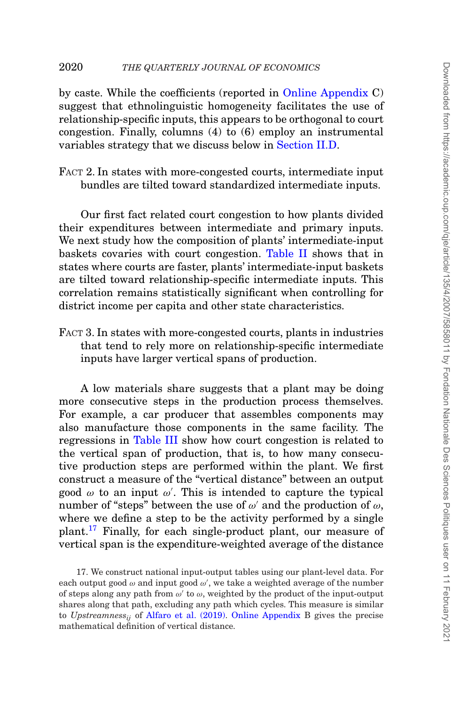by caste. While the coefficients (reported in [Online Appendix](file:qje.oxfordjournals.org) C) suggest that ethnolinguistic homogeneity facilitates the use of relationship-specific inputs, this appears to be orthogonal to court congestion. Finally, columns (4) to (6) employ an instrumental variables strategy that we discuss below in [Section II.D.](#page-16-0)

<span id="page-13-1"></span>FACT 2. In states with more-congested courts, intermediate input bundles are tilted toward standardized intermediate inputs.

Our first fact related court congestion to how plants divided their expenditures between intermediate and primary inputs. We next study how the composition of plants' intermediate-input baskets covaries with court congestion. [Table II](#page-14-0) shows that in states where courts are faster, plants' intermediate-input baskets are tilted toward relationship-specific intermediate inputs. This correlation remains statistically significant when controlling for district income per capita and other state characteristics.

<span id="page-13-2"></span>FACT 3. In states with more-congested courts, plants in industries that tend to rely more on relationship-specific intermediate inputs have larger vertical spans of production.

A low materials share suggests that a plant may be doing more consecutive steps in the production process themselves. For example, a car producer that assembles components may also manufacture those components in the same facility. The regressions in [Table III](#page-15-0) show how court congestion is related to the vertical span of production, that is, to how many consecutive production steps are performed within the plant. We first construct a measure of the "vertical distance" between an output good  $\omega$  to an input  $\omega'$ . This is intended to capture the typical number of "steps" between the use of  $\omega'$  and the production of  $\omega$ , where we define a step to be the activity performed by a single plant[.17](#page-13-0) Finally, for each single-product plant, our measure of vertical span is the expenditure-weighted average of the distance

<span id="page-13-0"></span><sup>17.</sup> We construct national input-output tables using our plant-level data. For each output good  $\omega$  and input good  $\omega'$ , we take a weighted average of the number of steps along any path from  $\omega'$  to  $\omega$ , weighted by the product of the input-output shares along that path, excluding any path which cycles. This measure is similar to *Upstreamnessij* of [Alfaro et al. \(2019\).](#page-48-12) [Online Appendix](file:qje.oxfordjournals.org) B gives the precise mathematical definition of vertical distance.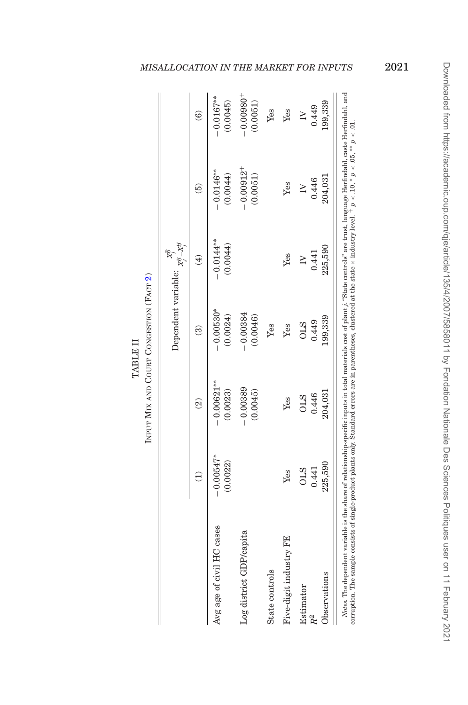|                           |                         |                           | Dependent variable: $\frac{\partial}{X^R_1+X^H_1}$ |                         |                            |                            |
|---------------------------|-------------------------|---------------------------|----------------------------------------------------|-------------------------|----------------------------|----------------------------|
|                           |                         | ତ୍ର                       | ව                                                  | 4                       | ම                          | ම                          |
| Avg age of civil HC cases | $-0.00547*$<br>(0.0022) | $-0.00621***$<br>(0.0023) | $-0.00530^{*}$<br>(0.0024)                         | $-0.0144**$<br>(0.0044) | $-0.0146***$<br>(0.0044)   | $-0.0167***$<br>(0.0045)   |
| Log district GDP/capita   |                         | $-0.00389$<br>(0.0045)    | $-0.00384$<br>(0.0046)                             |                         | $-0.00912^{+}$<br>(0.0051) | $-0.00980^{+}$<br>(0.0051) |
| State controls            |                         |                           | Yes                                                |                         |                            | Yes                        |
| Five-digit industry FE    | Yes                     | Yes                       | Yes                                                | Yes                     | Yes                        | Yes                        |
| Estimator<br>$R^2$        | 0.441<br><b>OLS</b>     | 0.446<br><b>OLS</b>       | 0.449<br><b>OLS</b>                                | 0.441                   | 0.446<br>$\geq$            | 0.449<br>$\geq$            |
| Observations              | 225,590                 | 204,031                   | 199,339                                            | 225,590                 | 204,031                    | 199,339                    |

<span id="page-14-0"></span>TABLE II TABLE II

Ë corruption. The sample consists of single-product plants only. Standard errors are in parentheses, clustered at the state × industry level. + *p* < .10, ∗ *p* < .05, ∗∗ *p* < .01. .<br>P Ź .<br>2 ζ इ mmmm

# *MISALLOCATION IN THE MARKET FOR INPUTS* 2021

Downloaded from https://academic.oup.com/qje/article/135/4/2007/5858011 by Fondation Nationale Des Sciences Politiques user on 11 February 2021 Downloaded from https://academic.oup.com/qje/article/135/4/2007/5858011 by Fondation Nationale Des Sciences Politiques user on 11 February 2021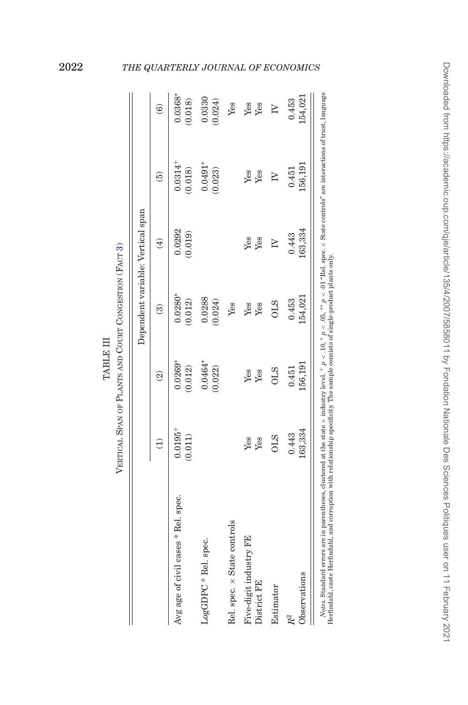|                                                                                                                                                                                                                                                                                                                                               |                         |                          | Dependent variable: Vertical span |                   |                         |                      |
|-----------------------------------------------------------------------------------------------------------------------------------------------------------------------------------------------------------------------------------------------------------------------------------------------------------------------------------------------|-------------------------|--------------------------|-----------------------------------|-------------------|-------------------------|----------------------|
|                                                                                                                                                                                                                                                                                                                                               | E                       | $\widehat{\mathfrak{D}}$ | ල                                 | $\left( 4\right)$ | 6                       | $\widehat{6}$        |
| Avg age of civil cases * Rel. spec.                                                                                                                                                                                                                                                                                                           | $0.0195^{+}$<br>(0.011) | $0.0269*$<br>(0.012)     | $0.0280*$<br>(0.012)              | 0.0292<br>(0.019) | $0.0314^{+}$<br>(0.018) | $0.0368*$<br>(0.018) |
| LogGDPC * Rel. spec.                                                                                                                                                                                                                                                                                                                          |                         | 0464*<br>(0.022)         | 0.0288<br>(0.024)                 |                   | $0.0491*$<br>(0.023)    | 0.0330<br>(0.024)    |
| Rel. spec. x State controls                                                                                                                                                                                                                                                                                                                   |                         |                          | Yes                               |                   |                         | Yes                  |
| Five-digit industry FE<br>District FE                                                                                                                                                                                                                                                                                                         | Yes<br>Yes              | Yes<br>Yes               | Yes<br>Yes                        | Yes<br>Yes        | Yes<br>Yes              | Yes<br>Yes           |
| Estimator                                                                                                                                                                                                                                                                                                                                     | <b>OLS</b>              | <b>OLS</b>               | <b>OLS</b>                        | $\geq$            | $\geq$                  | $\geq$               |
| Observations<br>$R^2$                                                                                                                                                                                                                                                                                                                         | 163,334<br>0.443        | 56,191<br>0.451          | 154,021<br>0.453                  | 163,334<br>0.443  | 156,191<br>0.451        | 154,021<br>0.453     |
| Notes. Standard errors are in parentheses, clustered at the state $\times$ industry level. + $p < 10$ , * $p < 10$ , * $p < 10$ ,  Thel. spec. $\times$ State controls" are interactions of trust, language<br>Herfindahl, caste Herfindahl, and corruption with relationship specificity. The sample consists of single-product plants only. |                         |                          |                                   |                   |                         |                      |

<span id="page-15-0"></span>TABLE III

TABLE III

# 2022 *THE QUARTERLY JOURNAL OF ECONOMICS*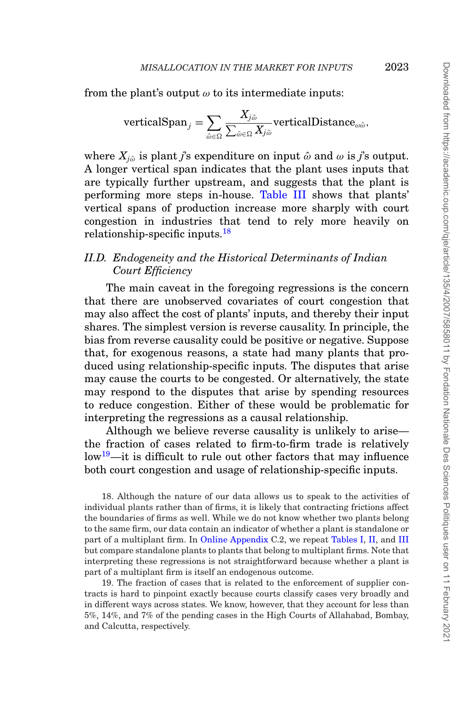from the plant's output  $\omega$  to its intermediate inputs:

$$
\text{verticalSpan}_j = \sum_{\hat{\omega} \in \Omega} \frac{X_{j\hat{\omega}}}{\sum_{\tilde{\omega} \in \Omega} X_{j\tilde{\omega}}} \text{verticalDistance}_{\omega \hat{\omega}},
$$

where  $X_{i\hat{\omega}}$  is plant *j*'s expenditure on input  $\hat{\omega}$  and  $\omega$  is *j*'s output. A longer vertical span indicates that the plant uses inputs that are typically further upstream, and suggests that the plant is performing more steps in-house. [Table III](#page-15-0) shows that plants' vertical spans of production increase more sharply with court congestion in industries that tend to rely more heavily on relationship-specific inputs.<sup>[18](#page-16-1)</sup>

# <span id="page-16-0"></span>*II.D. Endogeneity and the Historical Determinants of Indian Court Efficiency*

The main caveat in the foregoing regressions is the concern that there are unobserved covariates of court congestion that may also affect the cost of plants' inputs, and thereby their input shares. The simplest version is reverse causality. In principle, the bias from reverse causality could be positive or negative. Suppose that, for exogenous reasons, a state had many plants that produced using relationship-specific inputs. The disputes that arise may cause the courts to be congested. Or alternatively, the state may respond to the disputes that arise by spending resources to reduce congestion. Either of these would be problematic for interpreting the regressions as a causal relationship.

Although we believe reverse causality is unlikely to arise the fraction of cases related to firm-to-firm trade is relatively  $\text{low}^{19}$ —it is difficult to rule out other factors that may influence both court congestion and usage of relationship-specific inputs.

<span id="page-16-1"></span>18. Although the nature of our data allows us to speak to the activities of individual plants rather than of firms, it is likely that contracting frictions affect the boundaries of firms as well. While we do not know whether two plants belong to the same firm, our data contain an indicator of whether a plant is standalone or part of a multiplant firm. In [Online Appendix](file:qje.oxfordjournals.org) C.2, we repeat [Tables I,](#page-12-0) [II,](#page-14-0) and [III](#page-15-0) but compare standalone plants to plants that belong to multiplant firms. Note that interpreting these regressions is not straightforward because whether a plant is part of a multiplant firm is itself an endogenous outcome.

<span id="page-16-2"></span>19. The fraction of cases that is related to the enforcement of supplier contracts is hard to pinpoint exactly because courts classify cases very broadly and in different ways across states. We know, however, that they account for less than 5%, 14%, and 7% of the pending cases in the High Courts of Allahabad, Bombay, and Calcutta, respectively.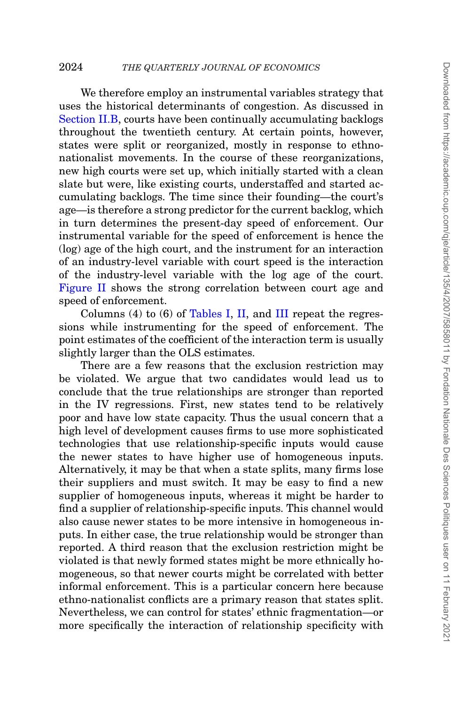We therefore employ an instrumental variables strategy that uses the historical determinants of congestion. As discussed in [Section II.B,](#page-8-5) courts have been continually accumulating backlogs throughout the twentieth century. At certain points, however, states were split or reorganized, mostly in response to ethnonationalist movements. In the course of these reorganizations, new high courts were set up, which initially started with a clean slate but were, like existing courts, understaffed and started accumulating backlogs. The time since their founding—the court's age—is therefore a strong predictor for the current backlog, which in turn determines the present-day speed of enforcement. Our instrumental variable for the speed of enforcement is hence the (log) age of the high court, and the instrument for an interaction of an industry-level variable with court speed is the interaction of the industry-level variable with the log age of the court. [Figure II](#page-10-0) shows the strong correlation between court age and speed of enforcement.

Columns (4) to (6) of [Tables I,](#page-12-0) [II,](#page-14-0) and [III](#page-15-0) repeat the regressions while instrumenting for the speed of enforcement. The point estimates of the coefficient of the interaction term is usually slightly larger than the OLS estimates.

There are a few reasons that the exclusion restriction may be violated. We argue that two candidates would lead us to conclude that the true relationships are stronger than reported in the IV regressions. First, new states tend to be relatively poor and have low state capacity. Thus the usual concern that a high level of development causes firms to use more sophisticated technologies that use relationship-specific inputs would cause the newer states to have higher use of homogeneous inputs. Alternatively, it may be that when a state splits, many firms lose their suppliers and must switch. It may be easy to find a new supplier of homogeneous inputs, whereas it might be harder to find a supplier of relationship-specific inputs. This channel would also cause newer states to be more intensive in homogeneous inputs. In either case, the true relationship would be stronger than reported. A third reason that the exclusion restriction might be violated is that newly formed states might be more ethnically homogeneous, so that newer courts might be correlated with better informal enforcement. This is a particular concern here because ethno-nationalist conflicts are a primary reason that states split. Nevertheless, we can control for states' ethnic fragmentation—or more specifically the interaction of relationship specificity with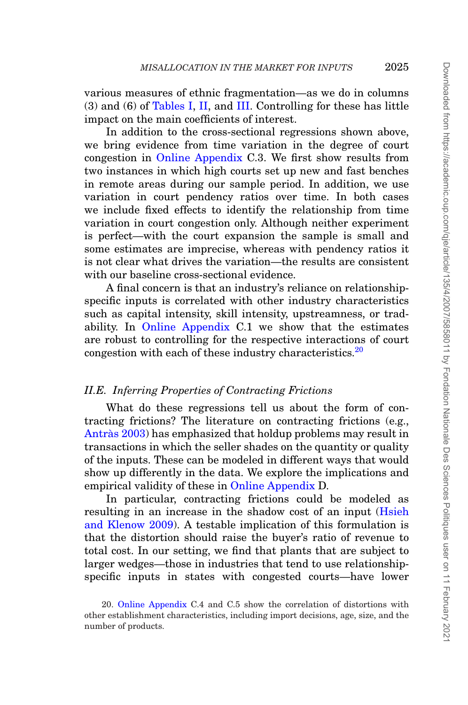various measures of ethnic fragmentation—as we do in columns (3) and (6) of [Tables I,](#page-12-0) [II,](#page-14-0) and [III.](#page-15-0) Controlling for these has little impact on the main coefficients of interest.

In addition to the cross-sectional regressions shown above, we bring evidence from time variation in the degree of court congestion in [Online Appendix](file:qje.oxfordjournals.org) C.3. We first show results from two instances in which high courts set up new and fast benches in remote areas during our sample period. In addition, we use variation in court pendency ratios over time. In both cases we include fixed effects to identify the relationship from time variation in court congestion only. Although neither experiment is perfect—with the court expansion the sample is small and some estimates are imprecise, whereas with pendency ratios it is not clear what drives the variation—the results are consistent with our baseline cross-sectional evidence.

A final concern is that an industry's reliance on relationshipspecific inputs is correlated with other industry characteristics such as capital intensity, skill intensity, upstreamness, or tradability. In [Online Appendix](file:qje.oxfordjournals.org) C.1 we show that the estimates are robust to controlling for the respective interactions of court congestion with each of these industry characteristics.<sup>20</sup>

### *II.E. Inferring Properties of Contracting Frictions*

What do these regressions tell us about the form of contracting frictions? The literature on contracting frictions (e.g., Antràs 2003) has emphasized that holdup problems may result in transactions in which the seller shades on the quantity or quality of the inputs. These can be modeled in different ways that would show up differently in the data. We explore the implications and empirical validity of these in [Online Appendix](file:qje.oxfordjournals.org) D.

In particular, contracting frictions could be modeled as resulting in an increase in the shadow cost of an input [\(Hsieh](#page-49-9) [and Klenow 2009\)](#page-49-9). A testable implication of this formulation is that the distortion should raise the buyer's ratio of revenue to total cost. In our setting, we find that plants that are subject to larger wedges—those in industries that tend to use relationshipspecific inputs in states with congested courts—have lower

<span id="page-18-0"></span><sup>20.</sup> [Online Appendix](file:qje.oxfordjournals.org) C.4 and C.5 show the correlation of distortions with other establishment characteristics, including import decisions, age, size, and the number of products.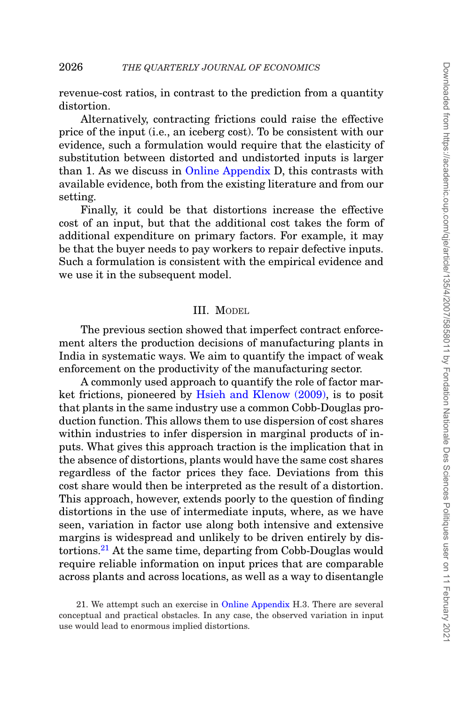revenue-cost ratios, in contrast to the prediction from a quantity distortion.

Alternatively, contracting frictions could raise the effective price of the input (i.e., an iceberg cost). To be consistent with our evidence, such a formulation would require that the elasticity of substitution between distorted and undistorted inputs is larger than 1. As we discuss in [Online Appendix](file:qje.oxfordjournals.org) D, this contrasts with available evidence, both from the existing literature and from our setting.

Finally, it could be that distortions increase the effective cost of an input, but that the additional cost takes the form of additional expenditure on primary factors. For example, it may be that the buyer needs to pay workers to repair defective inputs. Such a formulation is consistent with the empirical evidence and we use it in the subsequent model.

## III. MODEL

The previous section showed that imperfect contract enforcement alters the production decisions of manufacturing plants in India in systematic ways. We aim to quantify the impact of weak enforcement on the productivity of the manufacturing sector.

A commonly used approach to quantify the role of factor market frictions, pioneered by [Hsieh and Klenow \(2009\),](#page-49-9) is to posit that plants in the same industry use a common Cobb-Douglas production function. This allows them to use dispersion of cost shares within industries to infer dispersion in marginal products of inputs. What gives this approach traction is the implication that in the absence of distortions, plants would have the same cost shares regardless of the factor prices they face. Deviations from this cost share would then be interpreted as the result of a distortion. This approach, however, extends poorly to the question of finding distortions in the use of intermediate inputs, where, as we have seen, variation in factor use along both intensive and extensive margins is widespread and unlikely to be driven entirely by distortions.[21](#page-19-0) At the same time, departing from Cobb-Douglas would require reliable information on input prices that are comparable across plants and across locations, as well as a way to disentangle

<span id="page-19-0"></span><sup>21.</sup> We attempt such an exercise in [Online Appendix](file:qje.oxfordjournals.org) H.3. There are several conceptual and practical obstacles. In any case, the observed variation in input use would lead to enormous implied distortions.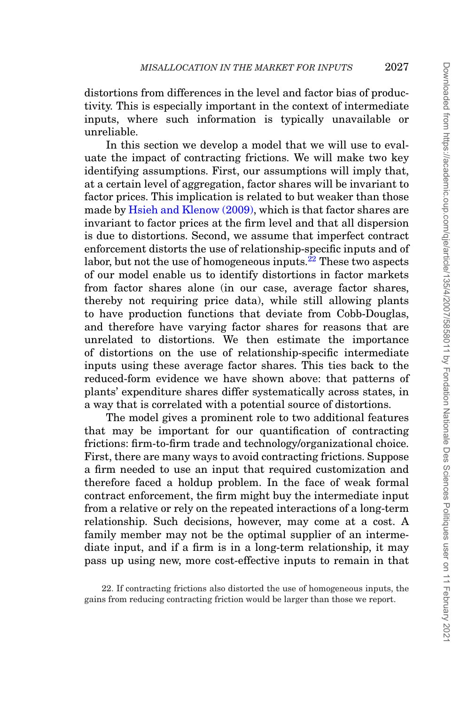distortions from differences in the level and factor bias of productivity. This is especially important in the context of intermediate inputs, where such information is typically unavailable or unreliable.

In this section we develop a model that we will use to evaluate the impact of contracting frictions. We will make two key identifying assumptions. First, our assumptions will imply that, at a certain level of aggregation, factor shares will be invariant to factor prices. This implication is related to but weaker than those made by [Hsieh and Klenow \(2009\),](#page-49-9) which is that factor shares are invariant to factor prices at the firm level and that all dispersion is due to distortions. Second, we assume that imperfect contract enforcement distorts the use of relationship-specific inputs and of labor, but not the use of homogeneous inputs.<sup>[22](#page-20-0)</sup> These two aspects of our model enable us to identify distortions in factor markets from factor shares alone (in our case, average factor shares, thereby not requiring price data), while still allowing plants to have production functions that deviate from Cobb-Douglas, and therefore have varying factor shares for reasons that are unrelated to distortions. We then estimate the importance of distortions on the use of relationship-specific intermediate inputs using these average factor shares. This ties back to the reduced-form evidence we have shown above: that patterns of plants' expenditure shares differ systematically across states, in a way that is correlated with a potential source of distortions.

The model gives a prominent role to two additional features that may be important for our quantification of contracting frictions: firm-to-firm trade and technology/organizational choice. First, there are many ways to avoid contracting frictions. Suppose a firm needed to use an input that required customization and therefore faced a holdup problem. In the face of weak formal contract enforcement, the firm might buy the intermediate input from a relative or rely on the repeated interactions of a long-term relationship. Such decisions, however, may come at a cost. A family member may not be the optimal supplier of an intermediate input, and if a firm is in a long-term relationship, it may pass up using new, more cost-effective inputs to remain in that

<span id="page-20-0"></span><sup>22.</sup> If contracting frictions also distorted the use of homogeneous inputs, the gains from reducing contracting friction would be larger than those we report.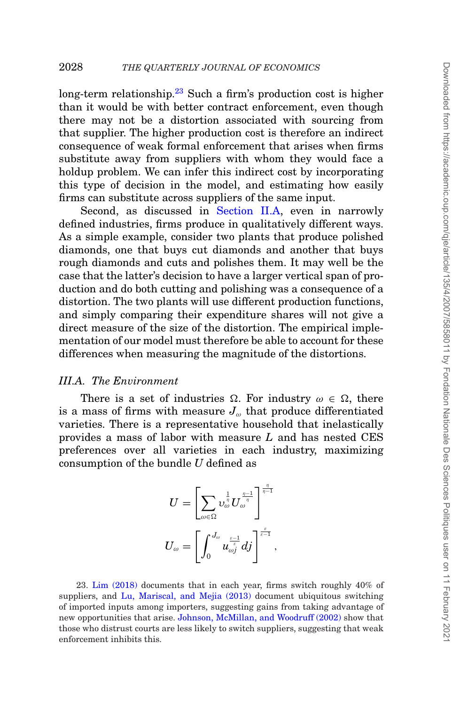long-term relationship. $^{23}$  $^{23}$  $^{23}$  Such a firm's production cost is higher than it would be with better contract enforcement, even though there may not be a distortion associated with sourcing from that supplier. The higher production cost is therefore an indirect consequence of weak formal enforcement that arises when firms substitute away from suppliers with whom they would face a holdup problem. We can infer this indirect cost by incorporating this type of decision in the model, and estimating how easily firms can substitute across suppliers of the same input.

Second, as discussed in [Section II.A,](#page-6-0) even in narrowly defined industries, firms produce in qualitatively different ways. As a simple example, consider two plants that produce polished diamonds, one that buys cut diamonds and another that buys rough diamonds and cuts and polishes them. It may well be the case that the latter's decision to have a larger vertical span of production and do both cutting and polishing was a consequence of a distortion. The two plants will use different production functions, and simply comparing their expenditure shares will not give a direct measure of the size of the distortion. The empirical implementation of our model must therefore be able to account for these differences when measuring the magnitude of the distortions.

# *III.A. The Environment*

There is a set of industries  $\Omega$ . For industry  $\omega \in \Omega$ , there is a mass of firms with measure  $J_{\omega}$  that produce differentiated varieties. There is a representative household that inelastically provides a mass of labor with measure *L* and has nested CES preferences over all varieties in each industry, maximizing consumption of the bundle *U* defined as

$$
U=\left[\sum_{\omega\in\Omega} \upsilon_{\omega}^{\frac{1}{\eta}} U_{\omega}^{\frac{\eta-1}{\eta}}\right]^{\frac{\eta}{\eta-1}}\\ U_{\omega}=\left[\int_0^{J_{\omega}} u_{\omega j}^{\frac{\varepsilon-1}{\varepsilon}}dj\right]^{\frac{\varepsilon}{\varepsilon-1}},
$$

<span id="page-21-0"></span>23. [Lim \(2018\)](#page-50-3) documents that in each year, firms switch roughly 40% of suppliers, and [Lu, Mariscal, and Mejia \(2013\)](#page-50-4) document ubiquitous switching of imported inputs among importers, suggesting gains from taking advantage of new opportunities that arise. [Johnson, McMillan, and Woodruff \(2002\)](#page-49-17) show that those who distrust courts are less likely to switch suppliers, suggesting that weak enforcement inhibits this.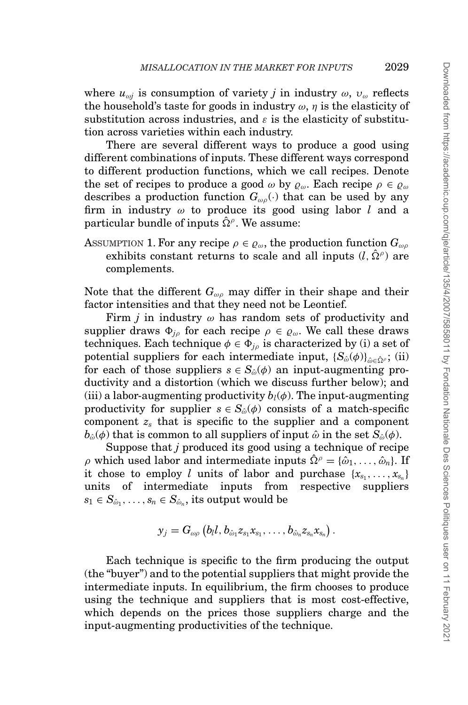where  $u_{\omega j}$  is consumption of variety *j* in industry  $\omega$ ,  $v_{\omega}$  reflects the household's taste for goods in industry  $\omega$ ,  $\eta$  is the elasticity of substitution across industries, and  $\varepsilon$  is the elasticity of substitution across varieties within each industry.

There are several different ways to produce a good using different combinations of inputs. These different ways correspond to different production functions, which we call recipes. Denote the set of recipes to produce a good  $\omega$  by  $\rho_{\omega}$ . Each recipe  $\rho \in \rho_{\omega}$ describes a production function  $G_{\omega\rho}(\cdot)$  that can be used by any firm in industry ω to produce its good using labor *l* and a particular bundle of inputs  $\hat{\Omega}^{\rho}$ . We assume:

<span id="page-22-0"></span>ASSUMPTION 1. For any recipe  $\rho \in \varrho_\omega$ , the production function  $G_{\omega\rho}$ exhibits constant returns to scale and all inputs  $(l, \hat{\Omega}^{\rho})$  are complements.

Note that the different  $G_{\omega\rho}$  may differ in their shape and their factor intensities and that they need not be Leontief.

Firm *j* in industry  $\omega$  has random sets of productivity and supplier draws  $\Phi_{i\rho}$  for each recipe  $\rho \in \varrho_\omega$ . We call these draws techniques. Each technique  $\phi \in \Phi_{j\rho}$  is characterized by (i) a set of potential suppliers for each intermediate input,  ${S_{\hat{\omega}}(\phi)}_{\hat{\omega}\in\hat{\Omega}\phi}$ ; (ii) for each of those suppliers  $s \in S_{\hat{\omega}}(\phi)$  an input-augmenting productivity and a distortion (which we discuss further below); and (iii) a labor-augmenting productivity  $b_l(\phi)$ . The input-augmenting productivity for supplier  $s \in S_{\hat{\omega}}(\phi)$  consists of a match-specific component *zs* that is specific to the supplier and a component  $b_{\hat{\omega}}(\phi)$  that is common to all suppliers of input  $\hat{\omega}$  in the set  $S_{\hat{\omega}}(\phi)$ .

Suppose that *j* produced its good using a technique of recipe  $\rho$  which used labor and intermediate inputs  $\hat{\Omega}^{\rho} = {\hat{\omega}_1, \ldots, \hat{\omega}_n}$ . If it chose to employ *l* units of labor and purchase  $\{x_{s_1}, \ldots, x_{s_n}\}$ units of intermediate inputs from respective suppliers  $s_1 \in S_{\hat{\omega}_1}, \ldots, s_n \in S_{\hat{\omega}_n}$ , its output would be

$$
y_j = G_{\omega\rho}\left(b_l l, b_{\hat{\omega}_1} z_{s_1} x_{s_1}, \ldots, b_{\hat{\omega}_n} z_{s_n} x_{s_n}\right).
$$

Each technique is specific to the firm producing the output (the "buyer") and to the potential suppliers that might provide the intermediate inputs. In equilibrium, the firm chooses to produce using the technique and suppliers that is most cost-effective, which depends on the prices those suppliers charge and the input-augmenting productivities of the technique.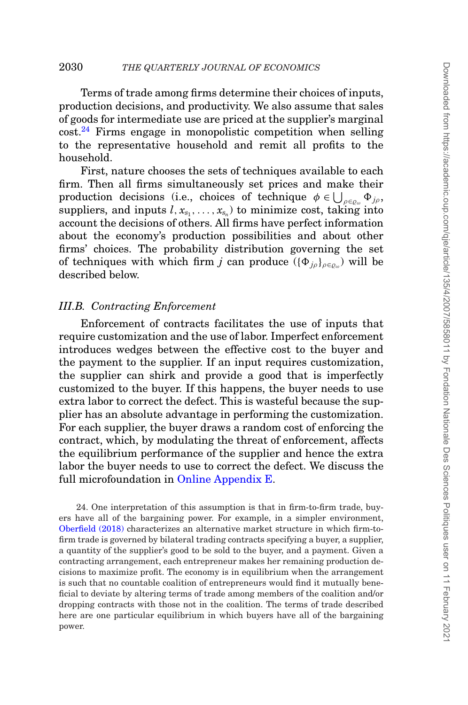Terms of trade among firms determine their choices of inputs, production decisions, and productivity. We also assume that sales of goods for intermediate use are priced at the supplier's marginal  $\text{cost.}^{24}$  Firms engage in monopolistic competition when selling to the representative household and remit all profits to the household.

First, nature chooses the sets of techniques available to each firm. Then all firms simultaneously set prices and make their production decisions (i.e., choices of technique  $\phi \in \bigcup_{\rho \in \varrho_{\omega}} \Phi_{j\rho}$ , suppliers, and inputs  $l, x_{s_1}, \ldots, x_{s_n}$  to minimize cost, taking into account the decisions of others. All firms have perfect information about the economy's production possibilities and about other firms' choices. The probability distribution governing the set of techniques with which firm *j* can produce  $({\{\Phi_{j_\rho}\}}_{\rho \in \rho_\infty})$  will be described below.

# *III.B. Contracting Enforcement*

<span id="page-23-1"></span>Enforcement of contracts facilitates the use of inputs that require customization and the use of labor. Imperfect enforcement introduces wedges between the effective cost to the buyer and the payment to the supplier. If an input requires customization, the supplier can shirk and provide a good that is imperfectly customized to the buyer. If this happens, the buyer needs to use extra labor to correct the defect. This is wasteful because the supplier has an absolute advantage in performing the customization. For each supplier, the buyer draws a random cost of enforcing the contract, which, by modulating the threat of enforcement, affects the equilibrium performance of the supplier and hence the extra labor the buyer needs to use to correct the defect. We discuss the full microfoundation in [Online Appendix E.](file:qje.oxfordjournals.org)

<span id="page-23-0"></span>24. One interpretation of this assumption is that in firm-to-firm trade, buyers have all of the bargaining power. For example, in a simpler environment, [Oberfield \(2018\)](#page-50-2) characterizes an alternative market structure in which firm-tofirm trade is governed by bilateral trading contracts specifying a buyer, a supplier, a quantity of the supplier's good to be sold to the buyer, and a payment. Given a contracting arrangement, each entrepreneur makes her remaining production decisions to maximize profit. The economy is in equilibrium when the arrangement is such that no countable coalition of entrepreneurs would find it mutually beneficial to deviate by altering terms of trade among members of the coalition and/or dropping contracts with those not in the coalition. The terms of trade described here are one particular equilibrium in which buyers have all of the bargaining power.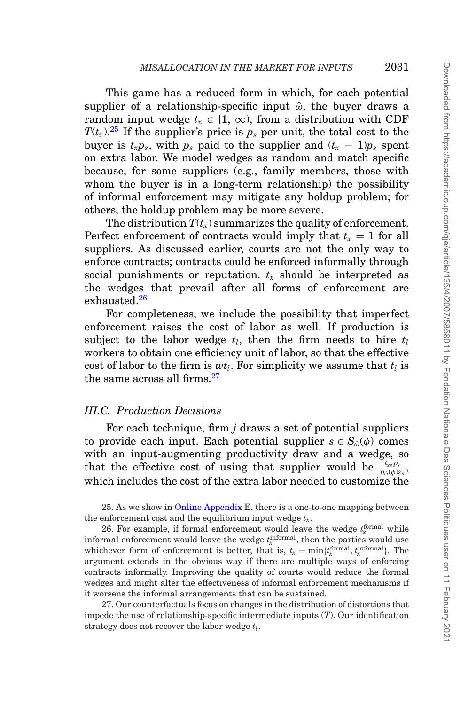This game has a reduced form in which, for each potential supplier of a relationship-specific input  $\hat{\omega}$ , the buyer draws a random input wedge  $t_x \in [1, \infty)$ , from a distribution with CDF  $T(t<sub>x</sub>)<sup>25</sup>$  $T(t<sub>x</sub>)<sup>25</sup>$  $T(t<sub>x</sub>)<sup>25</sup>$  If the supplier's price is  $p<sub>s</sub>$  per unit, the total cost to the buyer is  $t_x p_s$ , with  $p_s$  paid to the supplier and  $(t_x - 1)p_s$  spent on extra labor. We model wedges as random and match specific because, for some suppliers (e.g., family members, those with whom the buyer is in a long-term relationship) the possibility of informal enforcement may mitigate any holdup problem; for others, the holdup problem may be more severe.

The distribution  $T(t_x)$  summarizes the quality of enforcement. Perfect enforcement of contracts would imply that  $t_r = 1$  for all suppliers. As discussed earlier, courts are not the only way to enforce contracts; contracts could be enforced informally through social punishments or reputation.  $t<sub>x</sub>$  should be interpreted as the wedges that prevail after all forms of enforcement are exhausted.[26](#page-24-1)

For completeness, we include the possibility that imperfect enforcement raises the cost of labor as well. If production is subject to the labor wedge  $t_l$ , then the firm needs to hire  $t_l$ workers to obtain one efficiency unit of labor, so that the effective cost of labor to the firm is  $wt_l$ . For simplicity we assume that  $t_l$  is the same across all firms. $27$ 

### *III.C. Production Decisions*

For each technique, firm *j* draws a set of potential suppliers to provide each input. Each potential supplier  $s \in S_{\hat{\omega}}(\phi)$  comes with an input-augmenting productivity draw and a wedge, so that the effective cost of using that supplier would be  $\frac{t_{xs} p_s}{b_{\omega}(\phi) z_s}$ , which includes the cost of the extra labor needed to customize the

<span id="page-24-0"></span>25. As we show in [Online Appendix](file:qje.oxfordjournals.org) E, there is a one-to-one mapping between the enforcement cost and the equilibrium input wedge  $t_x$ .

<span id="page-24-1"></span>26. For example, if formal enforcement would leave the wedge  $t_x^{\text{formal}}$  while informal enforcement would leave the wedge  $t_x^{\text{informal}}$ , then the parties would use whichever form of enforcement is better, that is,  $t_x = \min\{t_x^{\text{formal}}, t_x^{\text{informal}}\}$ . The argument extends in the obvious way if there are multiple ways of enforcing contracts informally. Improving the quality of courts would reduce the formal wedges and might alter the effectiveness of informal enforcement mechanisms if it worsens the informal arrangements that can be sustained.

<span id="page-24-2"></span>27. Our counterfactuals focus on changes in the distribution of distortions that impede the use of relationship-specific intermediate inputs (*T*). Our identification strategy does not recover the labor wedge *tl*.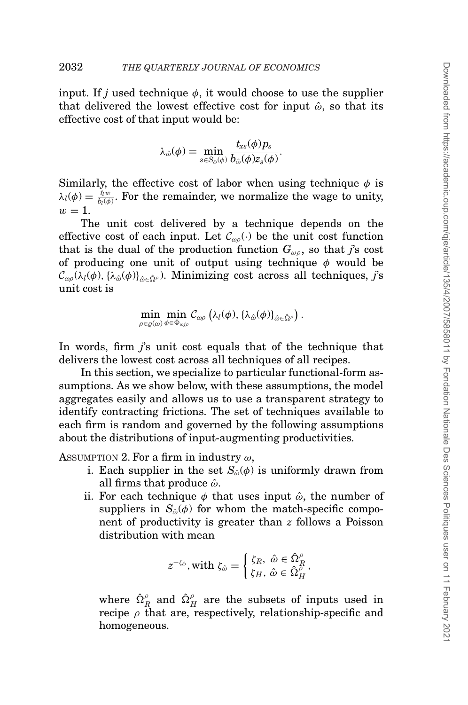input. If *j* used technique  $\phi$ , it would choose to use the supplier that delivered the lowest effective cost for input  $\hat{\omega}$ , so that its effective cost of that input would be:

$$
\lambda_{\hat{\omega}}(\phi) \equiv \min_{s \in S_{\hat{\omega}}(\phi)} \frac{t_{xs}(\phi) p_s}{b_{\hat{\omega}}(\phi) z_s(\phi)}.
$$

Similarly, the effective cost of labor when using technique  $\phi$  is  $\lambda_l(\phi) = \frac{h w}{b_l(\phi)}$ . For the remainder, we normalize the wage to unity,  $w=1$ .

The unit cost delivered by a technique depends on the effective cost of each input. Let  $\mathcal{C}_{\omega\rho}(\cdot)$  be the unit cost function that is the dual of the production function  $G_{\omega\rho}$ , so that *j*'s cost of producing one unit of output using technique  $\phi$  would be  $\mathcal{C}_{\omega\rho}(\lambda_l(\phi), {\lambda_{\hat{\omega}}(\phi)}_{\hat{\rho}})$ . Minimizing cost across all techniques, *j*'s unit cost is

$$
\min_{\rho \in \varrho(\omega)} \min_{\phi \in \Phi_{\omega j \rho}} \mathcal{C}_{\omega \rho} \left( \lambda_l(\phi), \{ \lambda_{\hat{\omega}}(\phi) \}_{\hat{\omega} \in \hat{\Omega}^{\rho}} \right).
$$

In words, firm *j*'s unit cost equals that of the technique that delivers the lowest cost across all techniques of all recipes.

In this section, we specialize to particular functional-form assumptions. As we show below, with these assumptions, the model aggregates easily and allows us to use a transparent strategy to identify contracting frictions. The set of techniques available to each firm is random and governed by the following assumptions about the distributions of input-augmenting productivities.

<span id="page-25-0"></span>ASSUMPTION 2. For a firm in industry  $\omega$ ,

- i. Each supplier in the set  $S_{\hat{\omega}}(\phi)$  is uniformly drawn from all firms that produce  $\hat{\omega}$ .
- ii. For each technique  $\phi$  that uses input  $\hat{\omega}$ , the number of suppliers in  $S_{\hat{\omega}}(\phi)$  for whom the match-specific component of productivity is greater than *z* follows a Poisson distribution with mean

$$
z^{-\zeta_{\hat{\omega}}},\text{with }\zeta_{\hat{\omega}}=\begin{cases} \zeta_R, \; \hat{\omega}\in \hat{\Omega}^{\rho}_R \\ \zeta_H, \; \hat{\omega}\in \hat{\Omega}^{\rho}_H. \end{cases}
$$

where  $\hat{\Omega}_R^{\rho}$  and  $\hat{\Omega}_H^{\rho}$  are the subsets of inputs used in recipe  $\rho$  that are, respectively, relationship-specific and homogeneous.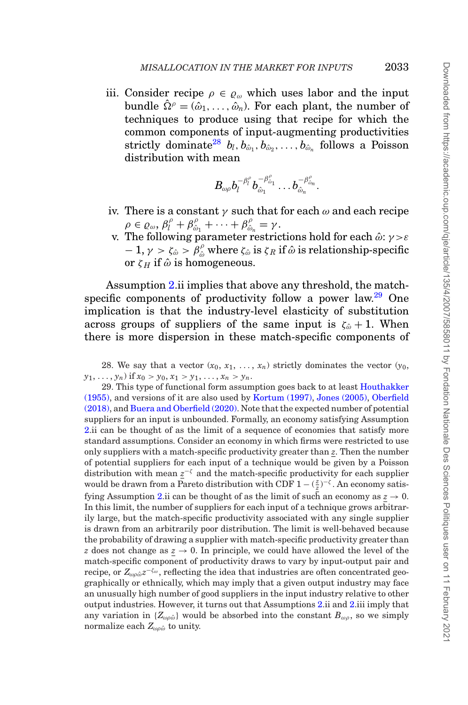iii. Consider recipe  $\rho \in \varrho_{\omega}$  which uses labor and the input bundle  $\hat{\Omega}^{\rho} = (\hat{\omega}_1, \ldots, \hat{\omega}_n)$ . For each plant, the number of techniques to produce using that recipe for which the common components of input-augmenting productivities strictly dominate<sup>28</sup>  $b_l, b_{\hat{\omega}_1}, b_{\hat{\omega}_2}, \ldots, b_{\hat{\omega}_n}$  follows a Poisson distribution with mean

$$
B_{\omega\rho}b_l^{-\beta_l^\rho}b_{\hat\omega_1}^{-\beta_{\hat\omega_1}^\rho}\dots b_{\hat\omega_n}^{-\beta_{\hat\omega_n}^\rho}.
$$

- iv. There is a constant  $\nu$  such that for each  $\omega$  and each recipe  $\rho \in \varrho_{\omega}, \beta^{\rho}_{l} + \beta^{\rho}_{\hat{\omega}_1} + \cdots + \beta^{\rho}_{\hat{\omega}_n} = \gamma.$
- v. The following parameter restrictions hold for each  $\hat\omega{:}\ \gamma\!>\!\varepsilon$  $-1, \gamma > \zeta_{\hat{\omega}} > \beta_{\hat{\omega}}^{\rho}$  where  $\zeta_{\hat{\omega}}$  is  $\zeta_R$  if  $\hat{\omega}$  is relationship-specific or  $\zeta_H$  if  $\hat{\omega}$  is homogeneous.

Assumption [2.](#page-25-0)ii implies that above any threshold, the matchspecific components of productivity follow a power law.<sup>29</sup> One implication is that the industry-level elasticity of substitution across groups of suppliers of the same input is  $\zeta_{\hat{\omega}} + 1$ . When there is more dispersion in these match-specific components of

<span id="page-26-0"></span>28. We say that a vector  $(x_0, x_1, \ldots, x_n)$  strictly dominates the vector  $(y_0,$  $y_1, \ldots, y_n$  if  $x_0 > y_0, x_1 > y_1, \ldots, x_n > y_n$ .

<span id="page-26-1"></span>29. This type of functional form assumption goes back to at least [Houthakker](#page-49-0) [\(1955\),](#page-49-0) and versions of it are also used by [Kortum \(1997\),](#page-50-20) [Jones \(2005\),](#page-49-4) [Oberfield](#page-50-2) [\(2018\),](#page-50-2) and [Buera and Oberfield \(2020\).](#page-49-20) Note that the expected number of potential suppliers for an input is unbounded. Formally, an economy satisfying Assumption [2.](#page-25-0)ii can be thought of as the limit of a sequence of economies that satisfy more standard assumptions. Consider an economy in which firms were restricted to use only suppliers with a match-specific productivity greater than *z*. Then the number of potential suppliers for each input of a technique would be given by a Poisson distribution with mean *z*−<sup>ζ</sup> and the match-specific productivity for each supplier would be drawn from a Pareto distribution with CDF  $1 - (\frac{z}{z})^{-\zeta}$ . An economy satis-fying Assumption [2.](#page-25-0)ii can be thought of as the limit of such an economy as  $z \to 0$ . In this limit, the number of suppliers for each input of a technique grows arbitrarily large, but the match-specific productivity associated with any single supplier is drawn from an arbitrarily poor distribution. The limit is well-behaved because the probability of drawing a supplier with match-specific productivity greater than *z* does not change as  $z \rightarrow 0$ . In principle, we could have allowed the level of the match-specific component of productivity draws to vary by input-output pair and recipe, or  $Z_{\alpha\alpha\hat{\omega}}z^{-\zeta_{\omega}}$ , reflecting the idea that industries are often concentrated geographically or ethnically, which may imply that a given output industry may face an unusually high number of good suppliers in the input industry relative to other output industries. However, it turns out that Assumptions [2.](#page-25-0)ii and [2.](#page-25-0)iii imply that any variation in  $\{Z_{\omega\rho\hat{\omega}}\}$  would be absorbed into the constant  $B_{\omega\rho}$ , so we simply normalize each  $Z_{\omega\rho\hat{\omega}}$  to unity.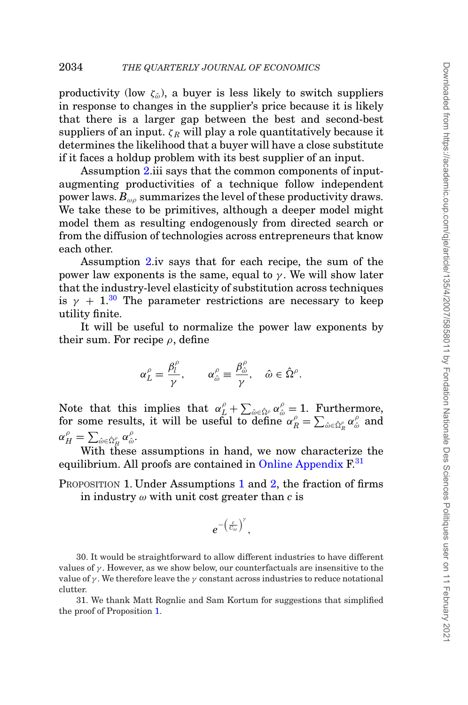productivity (low  $\zeta_{\hat{\omega}}$ ), a buyer is less likely to switch suppliers in response to changes in the supplier's price because it is likely that there is a larger gap between the best and second-best suppliers of an input.  $\zeta_R$  will play a role quantitatively because it determines the likelihood that a buyer will have a close substitute if it faces a holdup problem with its best supplier of an input.

Assumption [2.](#page-25-0)iii says that the common components of inputaugmenting productivities of a technique follow independent power laws.  $B_{\omega\rho}$  summarizes the level of these productivity draws. We take these to be primitives, although a deeper model might model them as resulting endogenously from directed search or from the diffusion of technologies across entrepreneurs that know each other.

Assumption [2.](#page-25-0)iv says that for each recipe, the sum of the power law exponents is the same, equal to  $\gamma$ . We will show later that the industry-level elasticity of substitution across techniques is  $\gamma$  + 1.<sup>[30](#page-27-0)</sup> The parameter restrictions are necessary to keep utility finite.

It will be useful to normalize the power law exponents by their sum. For recipe  $\rho$ , define

$$
\alpha_L^{\rho} = \frac{\beta_l^{\rho}}{\gamma}, \qquad \alpha_{\hat{\omega}}^{\rho} \equiv \frac{\beta_{\hat{\omega}}^{\rho}}{\gamma}, \quad \hat{\omega} \in \hat{\Omega}^{\rho}.
$$

Note that this implies that  $\alpha_L^{\rho} + \sum_{\hat{\omega} \in \hat{\Omega}^{\rho}} \alpha_{\hat{\omega}}^{\rho} = 1$ . Furthermore, for some results, it will be useful to define  $\alpha_R^{\rho} = \sum_{\hat{\omega} \in \hat{\Omega}_R^{\rho}} \alpha_{\hat{\omega}}^{\rho}$  and  $\alpha_H^{\rho} = \sum_{\hat{\omega} \in \hat{\Omega}_H^{\rho}} \alpha_{\hat{\omega}}^{\rho}.$ 

With these assumptions in hand, we now characterize the equilibrium. All proofs are contained in [Online Appendix](file:qje.oxfordjournals.org)  $F<sup>31</sup>$  $F<sup>31</sup>$  $F<sup>31</sup>$ 

<span id="page-27-2"></span>PROPOSITION [1](#page-22-0). Under Assumptions 1 and [2,](#page-25-0) the fraction of firms in industry  $\omega$  with unit cost greater than  $c$  is

$$
e^{-\left(\frac{c}{C_\omega}\right)^{\gamma}},
$$

<span id="page-27-0"></span>30. It would be straightforward to allow different industries to have different values of  $\gamma$ . However, as we show below, our counterfactuals are insensitive to the value of  $\gamma$ . We therefore leave the  $\gamma$  constant across industries to reduce notational clutter.

<span id="page-27-1"></span>31. We thank Matt Rognlie and Sam Kortum for suggestions that simplified the proof of Proposition [1.](#page-27-2)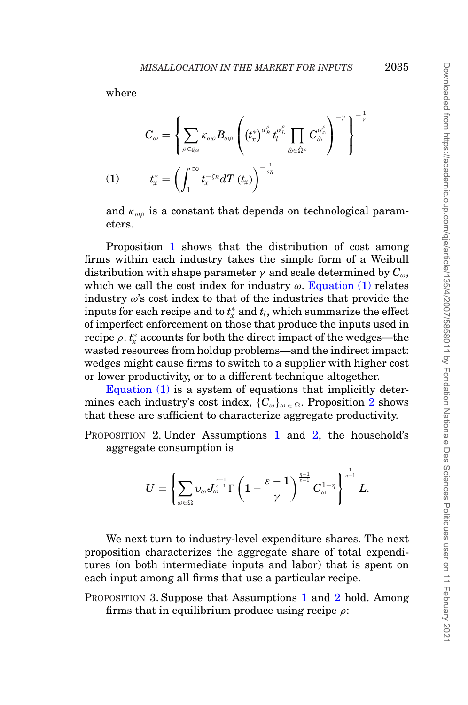where

$$
C_{\omega} = \left\{ \sum_{\rho \in \varrho_{\omega}} \kappa_{\omega\rho} B_{\omega\rho} \left( \left( t_x^* \right)^{\alpha_R^\rho} t_l^{\alpha_L^\rho} \prod_{\hat{\omega} \in \hat{\Omega}^\rho} C_{\hat{\omega}}^{\alpha_{\hat{\omega}}^\rho} \right)^{-\gamma} \right\}^{-\frac{1}{\gamma}}
$$
\n
$$
(1) \qquad \quad t_x^* = \left( \int_1^\infty t_x^{-\zeta_R} dT(t_x) \right)^{-\frac{1}{\zeta_R}}
$$

<span id="page-28-0"></span>and  $\kappa_{\omega\rho}$  is a constant that depends on technological parameters.

Proposition [1](#page-27-2) shows that the distribution of cost among firms within each industry takes the simple form of a Weibull distribution with shape parameter  $\gamma$  and scale determined by  $C_{\omega}$ , which we call the cost index for industry  $\omega$ . [Equation \(1\)](#page-28-0) relates industry  $\omega$ 's cost index to that of the industries that provide the  $\mathbf{p}$  inputs for each recipe and to  $t_{x}^{*}$  and  $t_{l}$ , which summarize the effect of imperfect enforcement on those that produce the inputs used in  $\text{recipe}\ \rho$  .  $t_{x}^{\ast}$  accounts for both the direct impact of the wedges—the wasted resources from holdup problems—and the indirect impact: wedges might cause firms to switch to a supplier with higher cost or lower productivity, or to a different technique altogether.

[Equation \(1\)](#page-28-0) is a system of equations that implicitly determines each industry's cost index,  ${C_{\omega}}_{\omega \in \Omega}$ . Proposition [2](#page-28-1) shows that these are sufficient to characterize aggregate productivity.

<span id="page-28-1"></span>PROPOSITION 2. Under Assumptions [1](#page-22-0) and [2,](#page-25-0) the household's aggregate consumption is

$$
U=\left\{\sum_{\omega\in\Omega} \nu_\omega J_\omega^{\frac{\eta-1}{\varepsilon-1}}\Gamma\left(1-\frac{\varepsilon-1}{\gamma}\right)^{\frac{\eta-1}{\varepsilon-1}}C_\omega^{1-\eta}\right\}^{\frac{1}{\eta-1}}L.
$$

We next turn to industry-level expenditure shares. The next proposition characterizes the aggregate share of total expenditures (on both intermediate inputs and labor) that is spent on each input among all firms that use a particular recipe.

<span id="page-28-2"></span>PROPOSITION 3. Suppose that Assumptions [1](#page-22-0) and [2](#page-25-0) hold. Among firms that in equilibrium produce using recipe  $\rho$ :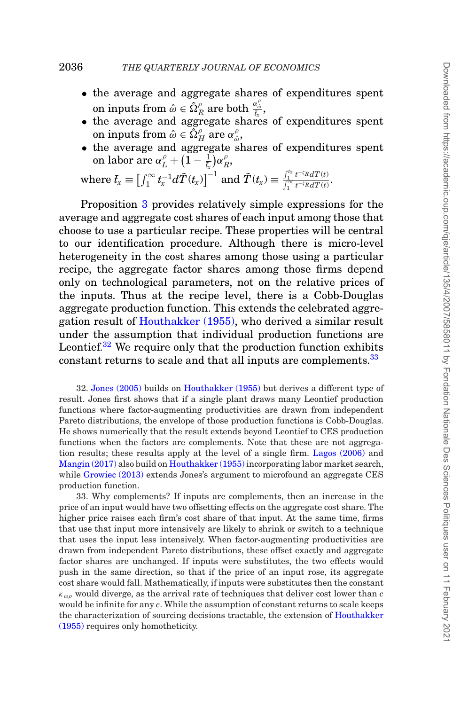- the average and aggregate shares of expenditures spent on inputs from  $\hat{\omega} \in \hat{\Omega}_R^{\rho}$  are both  $\frac{\alpha_{\hat{\omega}}^{\rho}}{t_x}$ ,
- the average and aggregate shares of expenditures spent on inputs from  $\hat{\omega} \in \hat{\Omega}^{\rho}_H$  are  $\alpha^{\rho}_{\hat{\omega}}$ ,
- the average and aggregate shares of expenditures spent on labor are  $\alpha_L^{\rho} + \big(1 - \frac{1}{\bar{t}_x} \big) \alpha_R^{\rho},$ *x*

where  $\bar{t}_x \equiv \left[ \int_1^\infty t_x^{-1} d\tilde{T}(t_x) \right]^{-1}$  and  $\tilde{T}(t_x) \equiv \frac{\int_1^{t_x} t^{-\zeta_R} dT(t)}{\int_1^\infty t^{-\zeta_R} dT(t)}$  $\frac{\int_1^{\infty} t^{-\xi} R dT(t)}{\int_1^{\infty} t^{-\xi} R dT(t)}$ 

Proposition [3](#page-28-2) provides relatively simple expressions for the average and aggregate cost shares of each input among those that choose to use a particular recipe. These properties will be central to our identification procedure. Although there is micro-level heterogeneity in the cost shares among those using a particular recipe, the aggregate factor shares among those firms depend only on technological parameters, not on the relative prices of the inputs. Thus at the recipe level, there is a Cobb-Douglas aggregate production function. This extends the celebrated aggregation result of [Houthakker \(1955\),](#page-49-0) who derived a similar result under the assumption that individual production functions are Leontief.<sup>[32](#page-29-0)</sup> We require only that the production function exhibits constant returns to scale and that all inputs are complements.<sup>33</sup>

<span id="page-29-0"></span>32. [Jones \(2005\)](#page-49-4) builds on [Houthakker \(1955\)](#page-49-0) but derives a different type of result. Jones first shows that if a single plant draws many Leontief production functions where factor-augmenting productivities are drawn from independent Pareto distributions, the envelope of those production functions is Cobb-Douglas. He shows numerically that the result extends beyond Leontief to CES production functions when the factors are complements. Note that these are not aggregation results; these results apply at the level of a single firm. [Lagos \(2006\)](#page-50-21) and [Mangin \(2017\)](#page-50-22) also build on [Houthakker \(1955\)](#page-49-0) incorporating labor market search, while [Growiec \(2013\)](#page-49-21) extends Jones's argument to microfound an aggregate CES production function.

<span id="page-29-1"></span>33. Why complements? If inputs are complements, then an increase in the price of an input would have two offsetting effects on the aggregate cost share. The higher price raises each firm's cost share of that input. At the same time, firms that use that input more intensively are likely to shrink or switch to a technique that uses the input less intensively. When factor-augmenting productivities are drawn from independent Pareto distributions, these offset exactly and aggregate factor shares are unchanged. If inputs were substitutes, the two effects would push in the same direction, so that if the price of an input rose, its aggregate cost share would fall. Mathematically, if inputs were substitutes then the constant  $\kappa_{\omega\rho}$  would diverge, as the arrival rate of techniques that deliver cost lower than  $c$ would be infinite for any *c*. While the assumption of constant returns to scale keeps the characterization of sourcing decisions tractable, the extension of [Houthakker](#page-49-0) [\(1955\)](#page-49-0) requires only homotheticity.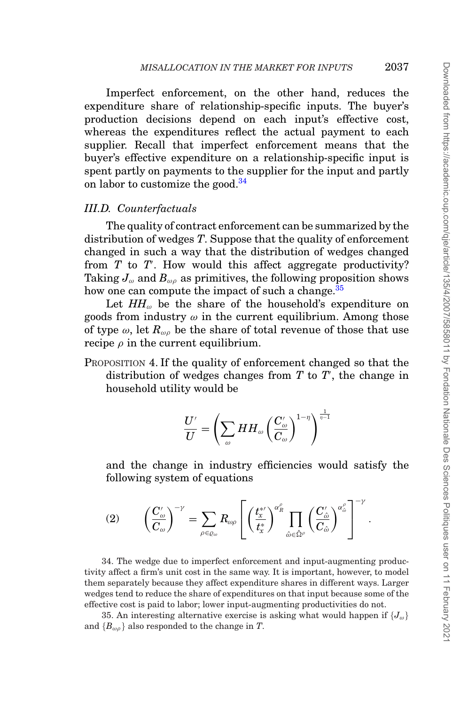Imperfect enforcement, on the other hand, reduces the expenditure share of relationship-specific inputs. The buyer's production decisions depend on each input's effective cost, whereas the expenditures reflect the actual payment to each supplier. Recall that imperfect enforcement means that the buyer's effective expenditure on a relationship-specific input is spent partly on payments to the supplier for the input and partly on labor to customize the good.<sup>[34](#page-30-0)</sup>

### *III.D. Counterfactuals*

The quality of contract enforcement can be summarized by the distribution of wedges *T*. Suppose that the quality of enforcement changed in such a way that the distribution of wedges changed from *T* to *T* . How would this affect aggregate productivity? Taking  $J_{\omega}$  and  $B_{\omega}$  as primitives, the following proposition shows how one can compute the impact of such a change.<sup>[35](#page-30-1)</sup>

Let  $HH_{\omega}$  be the share of the household's expenditure on goods from industry  $\omega$  in the current equilibrium. Among those of type  $\omega$ , let  $R_{\omega\rho}$  be the share of total revenue of those that use recipe  $\rho$  in the current equilibrium.

<span id="page-30-3"></span>PROPOSITION 4. If the quality of enforcement changed so that the distribution of wedges changes from *T* to *T* , the change in household utility would be

$$
\frac{U'}{U}=\left(\sum_{\omega}HH_{\omega}\left(\frac{C'_{\omega}}{C_{\omega}}\right)^{1-\eta}\right)^{\frac{1}{\eta-1}}
$$

and the change in industry efficiencies would satisfy the following system of equations

<span id="page-30-2"></span>
$$
(2) \qquad \left(\frac{C'_{\omega}}{C_{\omega}}\right)^{-\gamma} = \sum_{\rho \in \varrho_{\omega}} R_{\omega\rho} \left[ \left(\frac{t_{x}^{*\prime}}{t_{x}^{*}}\right)^{\alpha_{R}^{\rho}} \prod_{\hat{\omega} \in \hat{\Omega}^{\rho}} \left(\frac{C'_{\hat{\omega}}}{C_{\hat{\omega}}}\right)^{\alpha_{\hat{\omega}}^{\rho}} \right]^{-\gamma}
$$

<span id="page-30-0"></span>34. The wedge due to imperfect enforcement and input-augmenting productivity affect a firm's unit cost in the same way. It is important, however, to model them separately because they affect expenditure shares in different ways. Larger wedges tend to reduce the share of expenditures on that input because some of the effective cost is paid to labor; lower input-augmenting productivities do not.

<span id="page-30-1"></span>35. An interesting alternative exercise is asking what would happen if  ${J_\omega}$ and  ${B_{\omega\rho}}$  also responded to the change in *T*.

.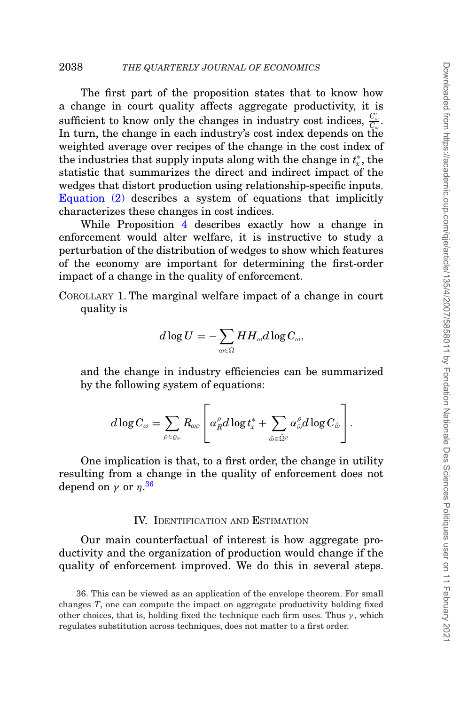The first part of the proposition states that to know how a change in court quality affects aggregate productivity, it is sufficient to know only the changes in industry cost indices,  $\frac{C_{\omega}}{C_{\omega}}$ . In turn, the change in each industry's cost index depends on the weighted average over recipes of the change in the cost index of the industries that supply inputs along with the change in  $t<sub>x</sub><sup>*</sup>$ , the statistic that summarizes the direct and indirect impact of the wedges that distort production using relationship-specific inputs. [Equation \(2\)](#page-30-2) describes a system of equations that implicitly characterizes these changes in cost indices.

While Proposition [4](#page-30-3) describes exactly how a change in enforcement would alter welfare, it is instructive to study a perturbation of the distribution of wedges to show which features of the economy are important for determining the first-order impact of a change in the quality of enforcement.

COROLLARY 1. The marginal welfare impact of a change in court quality is

$$
d\log U = -\sum_{\omega \in \Omega} HH_\omega d\log C_\omega,
$$

and the change in industry efficiencies can be summarized by the following system of equations:

$$
d\log C_\omega=\sum_{\rho\in\varrho_\omega}R_{\omega\rho}\left[\alpha^\rho_{R}d\log t^*_x+\sum_{\hat\omega\in\hat\Omega^\rho}\alpha^\rho_{\hat\omega}d\log C_{\hat\omega}\right].
$$

One implication is that, to a first order, the change in utility resulting from a change in the quality of enforcement does not depend on  $\gamma$  or  $\eta.^{\bf 36}$  $\eta.^{\bf 36}$  $\eta.^{\bf 36}$ 

### IV. IDENTIFICATION AND ESTIMATION

Our main counterfactual of interest is how aggregate productivity and the organization of production would change if the quality of enforcement improved. We do this in several steps.

<span id="page-31-0"></span><sup>36.</sup> This can be viewed as an application of the envelope theorem. For small changes *T*, one can compute the impact on aggregate productivity holding fixed other choices, that is, holding fixed the technique each firm uses. Thus  $\gamma$ , which regulates substitution across techniques, does not matter to a first order.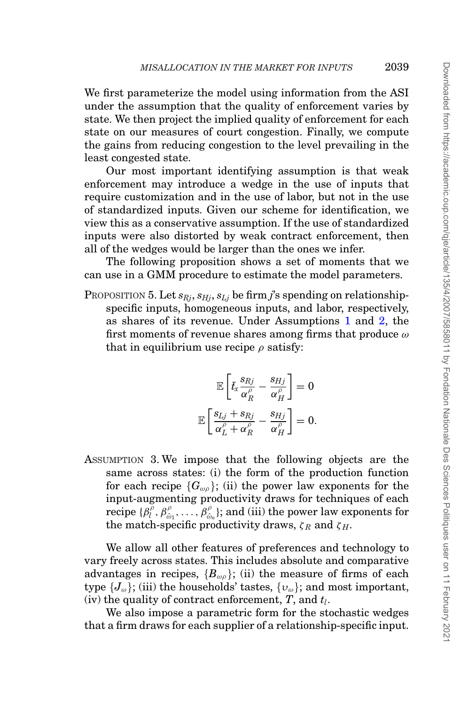We first parameterize the model using information from the ASI under the assumption that the quality of enforcement varies by state. We then project the implied quality of enforcement for each state on our measures of court congestion. Finally, we compute the gains from reducing congestion to the level prevailing in the least congested state.

Our most important identifying assumption is that weak enforcement may introduce a wedge in the use of inputs that require customization and in the use of labor, but not in the use of standardized inputs. Given our scheme for identification, we view this as a conservative assumption. If the use of standardized inputs were also distorted by weak contract enforcement, then all of the wedges would be larger than the ones we infer.

The following proposition shows a set of moments that we can use in a GMM procedure to estimate the model parameters.

<span id="page-32-0"></span>PROPOSITION 5. Let  $s_{Rj}$ ,  $s_{Hj}$ ,  $s_{Lj}$  be firm *j*'s spending on relationshipspecific inputs, homogeneous inputs, and labor, respectively, as shares of its revenue. Under Assumptions [1](#page-22-0) and [2,](#page-25-0) the first moments of revenue shares among firms that produce  $\omega$ that in equilibrium use recipe  $\rho$  satisfy:

$$
\mathbb{E}\left[\bar{t}_x \frac{s_{Rj}}{\alpha_R^{\rho}} - \frac{s_{Hj}}{\alpha_H^{\rho}}\right] = 0
$$

$$
\mathbb{E}\left[\frac{s_{Lj} + s_{Rj}}{\alpha_L^{\rho} + \alpha_R^{\rho}} - \frac{s_{Hj}}{\alpha_H^{\rho}}\right] = 0.
$$

ASSUMPTION 3. We impose that the following objects are the same across states: (i) the form of the production function for each recipe  ${G_{\omega\rho}}$ ; (ii) the power law exponents for the input-augmenting productivity draws for techniques of each recipe  $\{\beta_l^{\rho}, \beta_{\hat{\omega}_1}^{\rho}, \ldots, \beta_{\hat{\omega}_n}^{\rho}\};$  and (iii) the power law exponents for the match-specific productivity draws,  $\zeta_R$  and  $\zeta_H$ .

We allow all other features of preferences and technology to vary freely across states. This includes absolute and comparative advantages in recipes,  ${B_{\omega\theta}}$ ; (ii) the measure of firms of each type  ${J_\omega}$ ; (iii) the households' tastes,  ${v_\omega}$ ; and most important, (iv) the quality of contract enforcement,  $T$ , and  $t_l$ .

We also impose a parametric form for the stochastic wedges that a firm draws for each supplier of a relationship-specific input.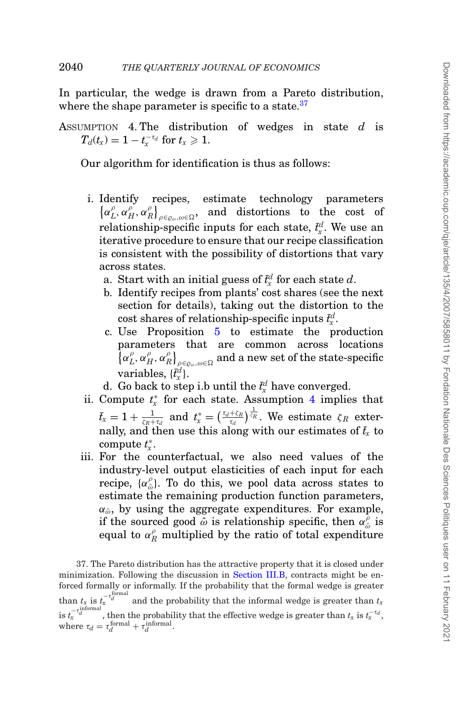In particular, the wedge is drawn from a Pareto distribution, where the shape parameter is specific to a state. $37$ 

<span id="page-33-1"></span>ASSUMPTION 4. The distribution of wedges in state *d* is  $T_d(t_x) = 1 - t_x^{-\tau_d}$  for  $t_x \geq 1$ .

Our algorithm for identification is thus as follows:

- i. Identify recipes, estimate technology parameters  $\left\{\alpha_{L}^{\rho},\alpha_{H}^{\rho},\alpha_{R}^{\rho}\right\}$ and distortions to the cost of relationship-specific inputs for each state,  $\bar{t}^d_x$ . We use an iterative procedure to ensure that our recipe classification is consistent with the possibility of distortions that vary across states.
	- a. Start with an initial guess of  $\bar{t}^d_x$  for each state *d*.
	- b. Identify recipes from plants' cost shares (see the next section for details), taking out the distortion to the  $\cos t$  shares of relationship-specific inputs  $\bar{t}^d_x$ .
	- c. Use Proposition [5](#page-32-0) to estimate the production parameters that are common across locations  $\left\{\alpha_L^\rho,\alpha_H^\rho,\alpha_R^\rho\right\}_{\rho\in\varrho_\omega,\omega\in\Omega} \text{ and a new set of the state-specific }$  $\text{variables}, \{\bar{t}_x^d\}.$
	- d. Go back to step i.b until the  $\bar{t}^d_x$  have converged.
- ii. Compute *t*<sup>∗</sup> *<sup>x</sup>* for each state. Assumption [4](#page-33-1) implies that  $\bar{t}_x = 1 + \frac{1}{\zeta_R + \tau_d}$  and  $t_x^* = \left(\frac{\tau_d + \zeta_R}{\tau_d}\right)^{\frac{1}{\zeta_R}}$ . We estimate  $\zeta_R$  externally, and then use this along with our estimates of  $\bar{t}_x$  to compute *t*<sup>∗</sup> *x* .
- iii. For the counterfactual, we also need values of the industry-level output elasticities of each input for each recipe,  $\{\alpha_{\hat{\omega}}^{\rho}\}$ . To do this, we pool data across states to estimate the remaining production function parameters,  $\alpha_{\hat{\omega}}$ , by using the aggregate expenditures. For example, if the sourced good  $\hat{\omega}$  is relationship specific, then  $\alpha_{\hat{\omega}}^{\overline{\rho}}$  is equal to  $\alpha_R^{\rho}$  multiplied by the ratio of total expenditure

<span id="page-33-0"></span>37. The Pareto distribution has the attractive property that it is closed under minimization. Following the discussion in [Section III.B,](#page-23-1) contracts might be enforced formally or informally. If the probability that the formal wedge is greater than  $t_x$  is  $t_x^{-t_d^{\text{formal}}}$  and the probability that the informal wedge is greater than  $t_x$  $\int_{\mathcal{I}}^{\mathcal{I}} \mathcal{I}_{d}^{\text{informal}}$ , then the probability that the effective wedge is greater than  $t_x$  is  $t_x^{-\tau_d}$ , where  $\tau_d = \tau_d^{\text{formal}} + \tau_d^{\text{informal}}$ .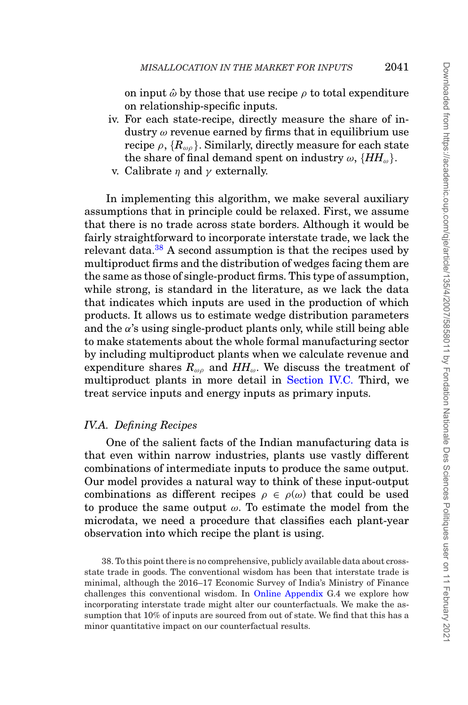on input  $\hat{\omega}$  by those that use recipe  $\rho$  to total expenditure on relationship-specific inputs.

- iv. For each state-recipe, directly measure the share of industry  $\omega$  revenue earned by firms that in equilibrium use recipe  $\rho$ ,  $\{R_{\omega\rho}\}\$ . Similarly, directly measure for each state the share of final demand spent on industry  $\omega$ ,  $\{HH_{\omega}\}.$ 
	- v. Calibrate *n* and  $\nu$  externally.

In implementing this algorithm, we make several auxiliary assumptions that in principle could be relaxed. First, we assume that there is no trade across state borders. Although it would be fairly straightforward to incorporate interstate trade, we lack the relevant data.<sup>[38](#page-34-0)</sup> A second assumption is that the recipes used by multiproduct firms and the distribution of wedges facing them are the same as those of single-product firms. This type of assumption, while strong, is standard in the literature, as we lack the data that indicates which inputs are used in the production of which products. It allows us to estimate wedge distribution parameters and the  $\alpha$ 's using single-product plants only, while still being able to make statements about the whole formal manufacturing sector by including multiproduct plants when we calculate revenue and expenditure shares  $R_{\omega\rho}$  and  $HH_{\omega}$ . We discuss the treatment of multiproduct plants in more detail in [Section IV.C.](#page-41-0) Third, we treat service inputs and energy inputs as primary inputs.

# *IV.A. Defining Recipes*

One of the salient facts of the Indian manufacturing data is that even within narrow industries, plants use vastly different combinations of intermediate inputs to produce the same output. Our model provides a natural way to think of these input-output combinations as different recipes  $\rho \in \rho(\omega)$  that could be used to produce the same output  $\omega$ . To estimate the model from the microdata, we need a procedure that classifies each plant-year observation into which recipe the plant is using.

<span id="page-34-0"></span>38. To this point there is no comprehensive, publicly available data about crossstate trade in goods. The conventional wisdom has been that interstate trade is minimal, although the 2016–17 Economic Survey of India's Ministry of Finance challenges this conventional wisdom. In [Online Appendix](file:qje.oxfordjournals.org) G.4 we explore how incorporating interstate trade might alter our counterfactuals. We make the assumption that 10% of inputs are sourced from out of state. We find that this has a minor quantitative impact on our counterfactual results.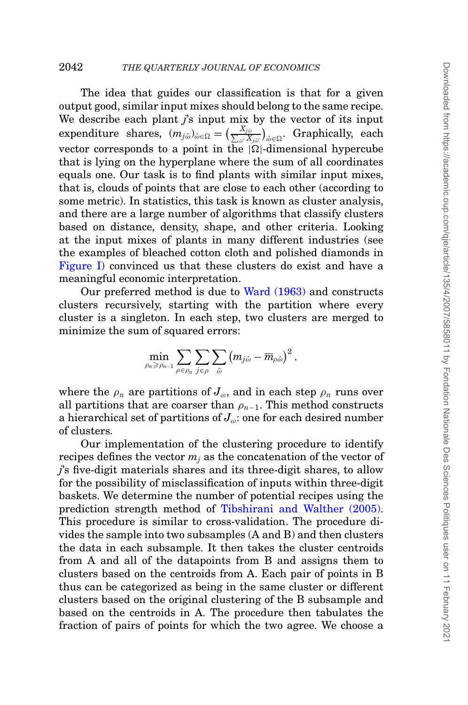The idea that guides our classification is that for a given output good, similar input mixes should belong to the same recipe. We describe each plant *j*'s input mix by the vector of its input  $\text{expenditure}\;\;\text{shares},\;\;(m_{j\hat{\omega}})_{\hat{\omega}\in\Omega}=(\frac{\pi}{\sum_{j\in\mathbb{Z}}\mathbb{Z}_j})^{\otimes m}$  $X_{j\hat{\omega}}$  $\left(\frac{\Delta_{j\hat{\omega}}}{\hat{\omega}^{\prime}}\right)_{\hat{\omega}\in\Omega}$ . Graphically, each vector corresponds to a point in the  $|\Omega|$ -dimensional hypercube that is lying on the hyperplane where the sum of all coordinates equals one. Our task is to find plants with similar input mixes, that is, clouds of points that are close to each other (according to some metric). In statistics, this task is known as cluster analysis, and there are a large number of algorithms that classify clusters based on distance, density, shape, and other criteria. Looking at the input mixes of plants in many different industries (see the examples of bleached cotton cloth and polished diamonds in [Figure I\)](#page-7-0) convinced us that these clusters do exist and have a meaningful economic interpretation.

Our preferred method is due to [Ward \(1963\)](#page-51-4) and constructs clusters recursively, starting with the partition where every cluster is a singleton. In each step, two clusters are merged to minimize the sum of squared errors:

$$
\min_{\rho_n\geqslant \rho_{n-1}}\sum_{\rho\in \rho_n}\sum_{j\in \rho}\sum_{\hat\omega}\left(m_{j\hat\omega}-\overline{m}_{\rho\hat\omega}\right)^2,
$$

where the  $\rho_n$  are partitions of  $J_\omega$ , and in each step  $\rho_n$  runs over all partitions that are coarser than  $\rho_{n-1}$ . This method constructs a hierarchical set of partitions of  $J_{\omega}$ : one for each desired number of clusters.

Our implementation of the clustering procedure to identify recipes defines the vector  $m_i$  as the concatenation of the vector of *j*'s five-digit materials shares and its three-digit shares, to allow for the possibility of misclassification of inputs within three-digit baskets. We determine the number of potential recipes using the prediction strength method of [Tibshirani and Walther \(2005\).](#page-51-5) This procedure is similar to cross-validation. The procedure divides the sample into two subsamples (A and B) and then clusters the data in each subsample. It then takes the cluster centroids from A and all of the datapoints from B and assigns them to clusters based on the centroids from A. Each pair of points in B thus can be categorized as being in the same cluster or different clusters based on the original clustering of the B subsample and based on the centroids in A. The procedure then tabulates the fraction of pairs of points for which the two agree. We choose a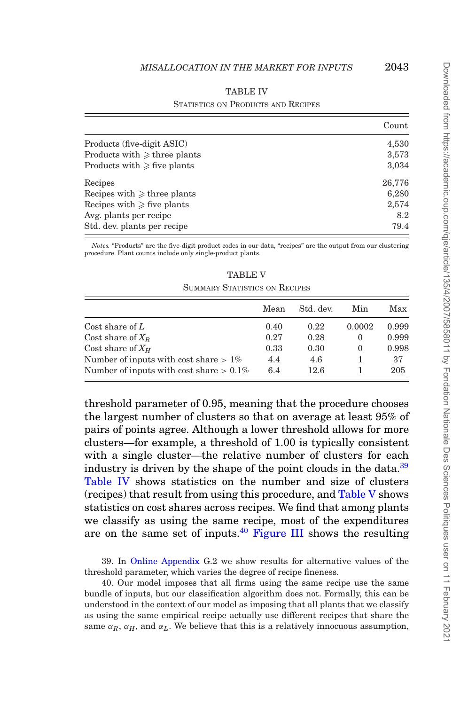#### TABLE IV

#### STATISTICS ON PRODUCTS AND RECIPES

<span id="page-36-1"></span>

|                                   | Count  |
|-----------------------------------|--------|
| Products (five-digit ASIC)        | 4,530  |
| Products with $\geq$ three plants | 3,573  |
| Products with $\ge$ five plants   | 3,034  |
| Recipes                           | 26,776 |
| Recipes with $\geq$ three plants  | 6,280  |
| Recipes with $\ge$ five plants    | 2,574  |
| Avg. plants per recipe            | 8.2    |
| Std. dev. plants per recipe       | 79.4   |

*Notes.* "Products" are the five-digit product codes in our data, "recipes" are the output from our clustering procedure. Plant counts include only single-product plants.

TABLE V

<span id="page-36-2"></span>

| <b>SUMMARY STATISTICS ON RECIPES</b>       |      |           |          |       |
|--------------------------------------------|------|-----------|----------|-------|
|                                            | Mean | Std. dev. | Min      | Max   |
| Cost share of $L$                          | 0.40 | 0.22      | 0.0002   | 0.999 |
| Cost share of $X_R$                        | 0.27 | 0.28      | $\Omega$ | 0.999 |
| Cost share of $X_H$                        | 0.33 | 0.30      | $\Omega$ | 0.998 |
| Number of inputs with cost share $> 1\%$   | 4.4  | 4.6       | 1        | 37    |
| Number of inputs with cost share $> 0.1\%$ | 6.4  | 12.6      |          | 205   |

threshold parameter of 0.95, meaning that the procedure chooses the largest number of clusters so that on average at least 95% of pairs of points agree. Although a lower threshold allows for more clusters—for example, a threshold of 1.00 is typically consistent with a single cluster—the relative number of clusters for each industry is driven by the shape of the point clouds in the data.<sup>[39](#page-36-0)</sup> [Table IV](#page-36-1) shows statistics on the number and size of clusters (recipes) that result from using this procedure, and [Table V](#page-36-2) shows statistics on cost shares across recipes. We find that among plants we classify as using the same recipe, most of the expenditures are on the same set of inputs.<sup>[40](#page-36-3)</sup> [Figure III](#page-37-0) shows the resulting

<span id="page-36-0"></span>39. In [Online Appendix](file:qje.oxfordjournals.org) G.2 we show results for alternative values of the threshold parameter, which varies the degree of recipe fineness.

<span id="page-36-3"></span>40. Our model imposes that all firms using the same recipe use the same bundle of inputs, but our classification algorithm does not. Formally, this can be understood in the context of our model as imposing that all plants that we classify as using the same empirical recipe actually use different recipes that share the same  $\alpha_R$ ,  $\alpha_H$ , and  $\alpha_L$ . We believe that this is a relatively innocuous assumption,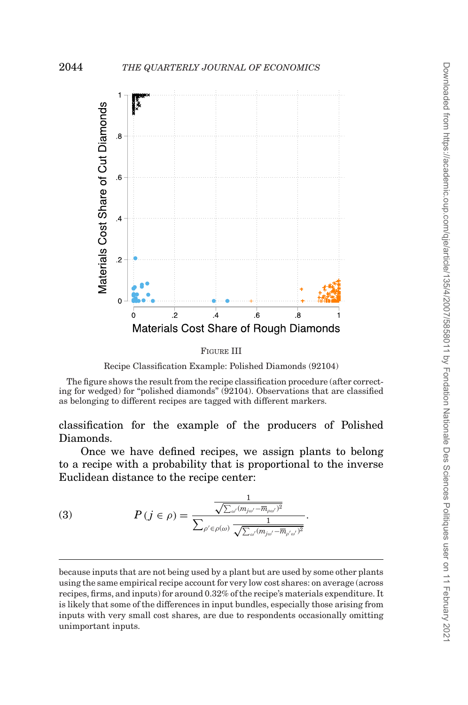<span id="page-37-0"></span>

FIGURE III



The figure shows the result from the recipe classification procedure (after correcting for wedged) for "polished diamonds" (92104). Observations that are classified as belonging to different recipes are tagged with different markers.

classification for the example of the producers of Polished Diamonds.

Once we have defined recipes, we assign plants to belong to a recipe with a probability that is proportional to the inverse Euclidean distance to the recipe center:

.

(3) 
$$
P(j \in \rho) = \frac{\frac{1}{\sqrt{\sum_{\omega'} (m_{j\omega'} - \overline{m}_{\rho\omega'})^2}}}{\sum_{\rho' \in \rho(\omega)} \frac{1}{\sqrt{\sum_{\omega'} (m_{j\omega'} - \overline{m}_{\rho'\omega'})^2}}}
$$

because inputs that are not being used by a plant but are used by some other plants using the same empirical recipe account for very low cost shares: on average (across recipes, firms, and inputs) for around 0.32% of the recipe's materials expenditure. It is likely that some of the differences in input bundles, especially those arising from inputs with very small cost shares, are due to respondents occasionally omitting unimportant inputs.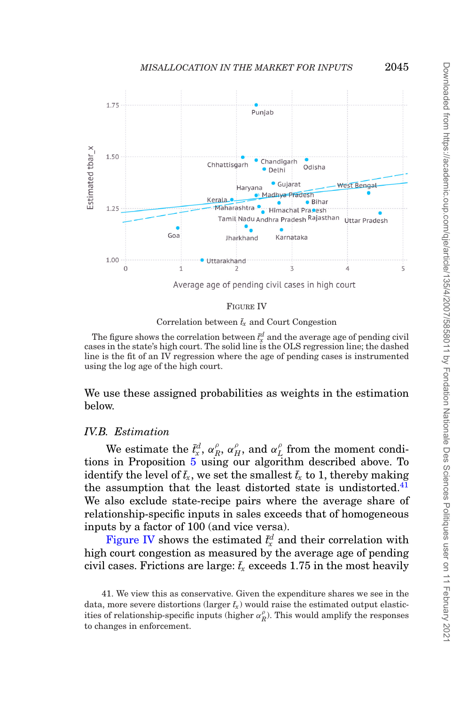<span id="page-38-1"></span>

#### FIGURE IV

Correlation between  $\bar{t}_x$  and Court Congestion

The figure shows the correlation between  $\bar{t}^d_x$  and the average age of pending civil cases in the state's high court. The solid line is the OLS regression line; the dashed line is the fit of an  $\overline{IV}$  regression where the age of pending cases is instrumented using the log age of the high court.

We use these assigned probabilities as weights in the estimation below.

### *IV.B. Estimation*

We estimate the  $\bar{t}^d_x$ ,  $\alpha^{\rho}_R$ ,  $\alpha^{\rho}_H$ , and  $\alpha^{\rho}_L$  from the moment conditions in Proposition [5](#page-32-0) using our algorithm described above. To identify the level of  $\bar{t}_x$ , we set the smallest  $\bar{t}_x$  to 1, thereby making the assumption that the least distorted state is undistorted.<sup>41</sup> We also exclude state-recipe pairs where the average share of relationship-specific inputs in sales exceeds that of homogeneous inputs by a factor of 100 (and vice versa).

[Figure IV](#page-38-1) shows the estimated  $\bar{t}^d_x$  and their correlation with high court congestion as measured by the average age of pending civil cases. Frictions are large:  $\bar{t}_x$  exceeds 1.75 in the most heavily

<span id="page-38-0"></span><sup>41.</sup> We view this as conservative. Given the expenditure shares we see in the data, more severe distortions (larger  $\bar{t}_x$ ) would raise the estimated output elasticities of relationship-specific inputs (higher  $\alpha_R^{\rho}$ ). This would amplify the responses to changes in enforcement.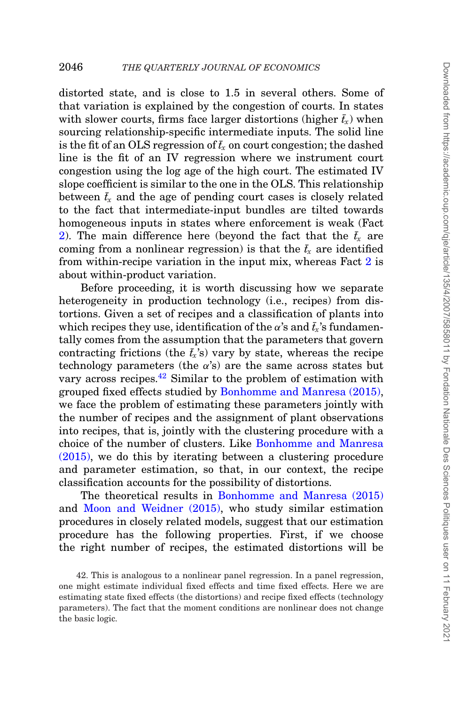distorted state, and is close to 1.5 in several others. Some of that variation is explained by the congestion of courts. In states with slower courts, firms face larger distortions (higher  $\bar{t}_x$ ) when sourcing relationship-specific intermediate inputs. The solid line is the fit of an OLS regression of  $\bar{t}_x$  on court congestion; the dashed line is the fit of an IV regression where we instrument court congestion using the log age of the high court. The estimated IV slope coefficient is similar to the one in the OLS. This relationship between  $\bar{t}_x$  and the age of pending court cases is closely related to the fact that intermediate-input bundles are tilted towards homogeneous inputs in states where enforcement is weak (Fact [2\)](#page-13-1). The main difference here (beyond the fact that the  $\bar{t}_x$  are coming from a nonlinear regression) is that the  $\bar{t}_x$  are identified from within-recipe variation in the input mix, whereas Fact [2](#page-13-1) is about within-product variation.

Before proceeding, it is worth discussing how we separate heterogeneity in production technology (i.e., recipes) from distortions. Given a set of recipes and a classification of plants into which recipes they use, identification of the  $\alpha$ 's and  $\bar{t}_x$ 's fundamentally comes from the assumption that the parameters that govern contracting frictions (the  $\bar{t}_x$ 's) vary by state, whereas the recipe technology parameters (the  $\alpha$ 's) are the same across states but vary across recipes. $42$  Similar to the problem of estimation with grouped fixed effects studied by [Bonhomme and Manresa \(2015\),](#page-49-1) we face the problem of estimating these parameters jointly with the number of recipes and the assignment of plant observations into recipes, that is, jointly with the clustering procedure with a choice of the number of clusters. Like [Bonhomme and Manresa](#page-49-1) [\(2015\),](#page-49-1) we do this by iterating between a clustering procedure and parameter estimation, so that, in our context, the recipe classification accounts for the possibility of distortions.

The theoretical results in [Bonhomme and Manresa \(2015\)](#page-49-1) and [Moon and Weidner \(2015\),](#page-50-1) who study similar estimation procedures in closely related models, suggest that our estimation procedure has the following properties. First, if we choose the right number of recipes, the estimated distortions will be

<span id="page-39-0"></span><sup>42.</sup> This is analogous to a nonlinear panel regression. In a panel regression, one might estimate individual fixed effects and time fixed effects. Here we are estimating state fixed effects (the distortions) and recipe fixed effects (technology parameters). The fact that the moment conditions are nonlinear does not change the basic logic.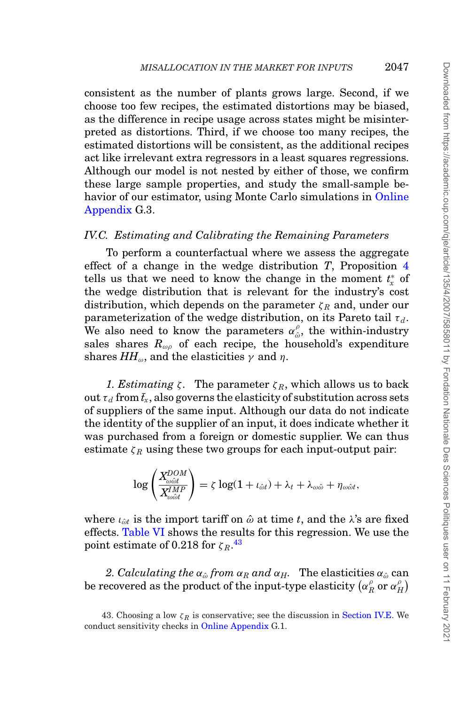consistent as the number of plants grows large. Second, if we choose too few recipes, the estimated distortions may be biased, as the difference in recipe usage across states might be misinterpreted as distortions. Third, if we choose too many recipes, the estimated distortions will be consistent, as the additional recipes act like irrelevant extra regressors in a least squares regressions. Although our model is not nested by either of those, we confirm these large sample properties, and study the small-sample be-havior of our estimator, using Monte Carlo simulations in [Online](file:qje.oxfordjournals.org) [Appendix](file:qje.oxfordjournals.org) G.3.

### *IV.C. Estimating and Calibrating the Remaining Parameters*

To perform a counterfactual where we assess the aggregate effect of a change in the wedge distribution *T*, Proposition [4](#page-30-3) tells us that we need to know the change in the moment *t*<sup>∗</sup> *<sup>x</sup>* of the wedge distribution that is relevant for the industry's cost distribution, which depends on the parameter ζ *<sup>R</sup>* and, under our parameterization of the wedge distribution, on its Pareto tail  $\tau_d$ . We also need to know the parameters  $\alpha_{\hat{\omega}}^{\rho}$ , the within-industry sales shares  $R_{\omega\rho}$  of each recipe, the household's expenditure shares  $HH_{\omega}$ , and the elasticities  $\gamma$  and  $\eta$ .

*1. Estimating*  $\zeta$ . The parameter  $\zeta_R$ , which allows us to back  $\operatorname{out}$   $\tau_d$  from  $\bar{t}_x$ , also governs the elasticity of substitution across sets of suppliers of the same input. Although our data do not indicate the identity of the supplier of an input, it does indicate whether it was purchased from a foreign or domestic supplier. We can thus estimate  $\zeta_R$  using these two groups for each input-output pair:

$$
\log\left(\frac{X^{DOM}_{\omega\hat{o}t}}{X^{IMP}_{\omega\hat{o}t}}\right)=\zeta\log(1+\iota_{\hat{o}t})+\lambda_t+\lambda_{\omega\hat{o}}+\eta_{\omega\hat{o}t},
$$

where  $\iota_{\hat{\omega}t}$  is the import tariff on  $\hat{\omega}$  at time *t*, and the  $\lambda$ 's are fixed effects. [Table VI](#page-41-1) shows the results for this regression. We use the point estimate of 0.218 for  $\zeta_R$ .<sup>[43](#page-40-0)</sup>

2. Calculating the  $\alpha_{\hat{\omega}}$  *from*  $\alpha_R$  *and*  $\alpha_H$ . The elasticities  $\alpha_{\hat{\omega}}$  can be recovered as the product of the input-type elasticity  $(\alpha_R^{\rho} \text{ or } \alpha_H^{\rho})$ 

<span id="page-40-0"></span><sup>43.</sup> Choosing a low  $\zeta_R$  is conservative; see the discussion in [Section IV.E.](#page-43-0) We conduct sensitivity checks in [Online Appendix](file:qje.oxfordjournals.org) G.1.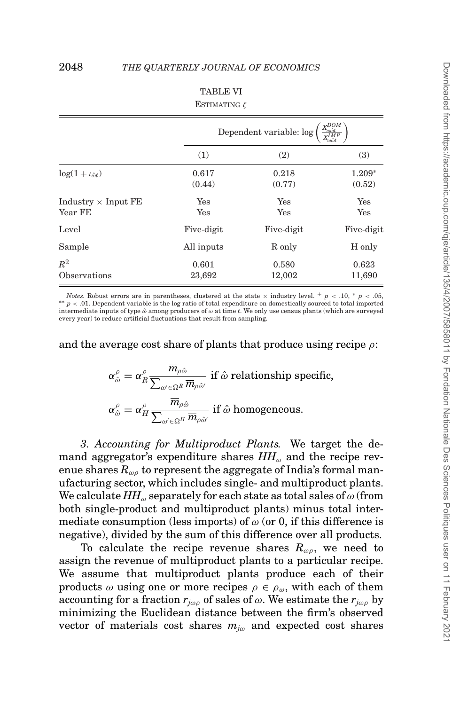## TABLE VI

#### ESTIMATING ζ

<span id="page-41-1"></span>

|                                       |                 | Dependent variable: log | $X^{DOM}$<br><del>`</del> ωôt<br>γIMP |
|---------------------------------------|-----------------|-------------------------|---------------------------------------|
|                                       | (1)             | (2)                     | (3)                                   |
| $log(1 + \iota_{\hat{\omega}t})$      | 0.617<br>(0.44) | 0.218<br>(0.77)         | $1.209*$<br>(0.52)                    |
| Industry $\times$ Input FE<br>Year FE | Yes<br>Yes      | Yes<br>Yes              | Yes<br>Yes                            |
| Level                                 | Five-digit      | Five-digit              | Five-digit                            |
| Sample                                | All inputs      | R only                  | H only                                |
| $R^2$<br>Observations                 | 0.601<br>23,692 | 0.580<br>12,002         | 0.623<br>11,690                       |

*Notes.* Robust errors are in parentheses, clustered at the state  $\times$  industry level.  $+ p < .10, * p < .05,$ <br>\*\*  $p < .01$ . Dependent variable is the log ratio of total expenditure on domestically sourced to total imported intermediate inputs of type  $\hat{\omega}$  among producers of  $\omega$  at time *t*. We only use census plants (which are surveyed every year) to reduce artificial fluctuations that result from sampling.

and the average cost share of plants that produce using recipe  $\rho$ :

$$
\alpha_{\hat{\omega}}^{\rho} = \alpha_R^{\rho} \frac{\overline{m}_{\rho \hat{\omega}}}{\sum_{\omega' \in \Omega^R} \overline{m}_{\rho \hat{\omega}'}} \text{ if } \hat{\omega} \text{ relationship specific,}
$$
\n
$$
\alpha_{\hat{\omega}}^{\rho} = \alpha_H^{\rho} \frac{\overline{m}_{\rho \hat{\omega}}}{\sum_{\omega' \in \Omega^H} \overline{m}_{\rho \hat{\omega}'}} \text{ if } \hat{\omega} \text{ homogeneous.}
$$

<span id="page-41-0"></span>*3. Accounting for Multiproduct Plants.* We target the demand aggregator's expenditure shares  $HH_{\omega}$  and the recipe revenue shares  $R_{\omega\rho}$  to represent the aggregate of India's formal manufacturing sector, which includes single- and multiproduct plants. We calculate  $HH_{\omega}$  separately for each state as total sales of  $\omega$  (from both single-product and multiproduct plants) minus total intermediate consumption (less imports) of  $\omega$  (or 0, if this difference is negative), divided by the sum of this difference over all products.

To calculate the recipe revenue shares *R*ωρ, we need to assign the revenue of multiproduct plants to a particular recipe. We assume that multiproduct plants produce each of their products  $\omega$  using one or more recipes  $\rho \in \rho_{\omega}$ , with each of them accounting for a fraction  $r_{j\omega\rho}$  of sales of  $\omega$ . We estimate the  $r_{j\omega\rho}$  by minimizing the Euclidean distance between the firm's observed vector of materials cost shares  $m_{i\omega}$  and expected cost shares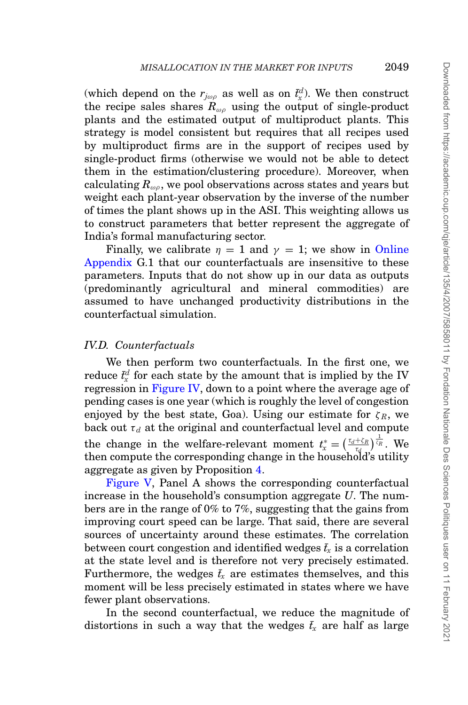(which depend on the  $r_{j\omega\rho}$  as well as on  $\bar{t}^d_x$ ). We then construct the recipe sales shares  $R_{\omega}$  using the output of single-product plants and the estimated output of multiproduct plants. This strategy is model consistent but requires that all recipes used by multiproduct firms are in the support of recipes used by single-product firms (otherwise we would not be able to detect them in the estimation/clustering procedure). Moreover, when calculating  $R_{\omega\rho}$ , we pool observations across states and years but weight each plant-year observation by the inverse of the number of times the plant shows up in the ASI. This weighting allows us to construct parameters that better represent the aggregate of India's formal manufacturing sector.

Finally, we calibrate  $\eta = 1$  and  $\gamma = 1$ ; we show in [Online](file:qje.oxfordjournals.org) [Appendix](file:qje.oxfordjournals.org) G.1 that our counterfactuals are insensitive to these parameters. Inputs that do not show up in our data as outputs (predominantly agricultural and mineral commodities) are assumed to have unchanged productivity distributions in the counterfactual simulation.

# *IV.D. Counterfactuals*

We then perform two counterfactuals. In the first one, we reduce  $\bar{t}^d_x$  for each state by the amount that is implied by the IV regression in [Figure IV,](#page-38-1) down to a point where the average age of pending cases is one year (which is roughly the level of congestion enjoyed by the best state, Goa). Using our estimate for  $\zeta_R$ , we back out  $\tau_d$  at the original and counterfactual level and compute the change in the welfare-relevant moment  $t_x^* = \left(\frac{\tau_d + \zeta_R}{\tau_d}\right)^{\frac{1}{\zeta_R}}$ . We then compute the corresponding change in the household's utility aggregate as given by Proposition [4.](#page-30-3)

[Figure V,](#page-43-1) Panel A shows the corresponding counterfactual increase in the household's consumption aggregate *U*. The numbers are in the range of 0% to 7%, suggesting that the gains from improving court speed can be large. That said, there are several sources of uncertainty around these estimates. The correlation between court congestion and identified wedges  $\bar{t}_x$  is a correlation at the state level and is therefore not very precisely estimated. Furthermore, the wedges  $\bar{t}_x$  are estimates themselves, and this moment will be less precisely estimated in states where we have fewer plant observations.

In the second counterfactual, we reduce the magnitude of distortions in such a way that the wedges  $\bar{t}_x$  are half as large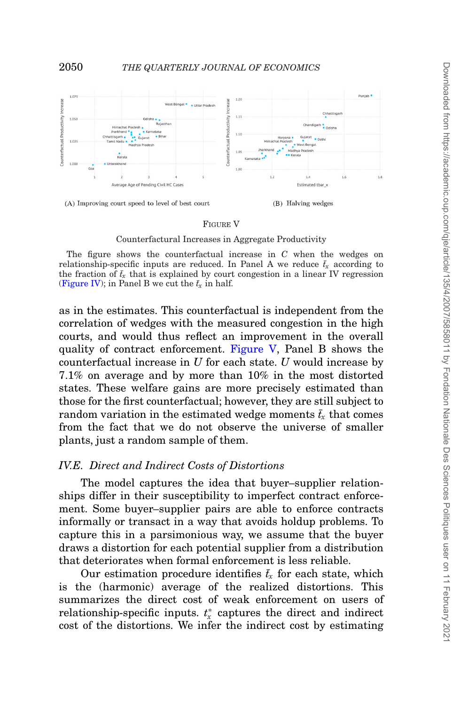<span id="page-43-1"></span>

#### FIGURE V

Counterfactural Increases in Aggregate Productivity

The figure shows the counterfactual increase in *C* when the wedges on relationship-specific inputs are reduced. In Panel A we reduce  $\bar{t}_x$  according to the fraction of  $\bar{t}_x$  that is explained by court congestion in a linear IV regression [\(Figure IV\)](#page-38-1); in Panel B we cut the  $\bar{t}_x$  in half.

as in the estimates. This counterfactual is independent from the correlation of wedges with the measured congestion in the high courts, and would thus reflect an improvement in the overall quality of contract enforcement. [Figure V,](#page-43-1) Panel B shows the counterfactual increase in *U* for each state. *U* would increase by 7.1% on average and by more than 10% in the most distorted states. These welfare gains are more precisely estimated than those for the first counterfactual; however, they are still subject to  $r$  random variation in the estimated wedge moments  $\bar{t}_x$  that comes from the fact that we do not observe the universe of smaller plants, just a random sample of them.

Downloaded from https://academic.oup.com/cjle/article/135/4/2007/5858011 by Fondation Nationale Des Sciences Politiques user on 11 February 202 Downloaded from https://academic.oup.com/qje/article/135/4/2007/5858011 by Fondation Nationale Des Sciences Politiques user on 11 February 2021

## *IV.E. Direct and Indirect Costs of Distortions*

<span id="page-43-0"></span>The model captures the idea that buyer–supplier relationships differ in their susceptibility to imperfect contract enforcement. Some buyer–supplier pairs are able to enforce contracts informally or transact in a way that avoids holdup problems. To capture this in a parsimonious way, we assume that the buyer draws a distortion for each potential supplier from a distribution that deteriorates when formal enforcement is less reliable.

Our estimation procedure identifies  $\bar{t}_x$  for each state, which is the (harmonic) average of the realized distortions. This summarizes the direct cost of weak enforcement on users of relationship-specific inputs.  $t<sup>*</sup><sub>x</sub>$  captures the direct and indirect cost of the distortions. We infer the indirect cost by estimating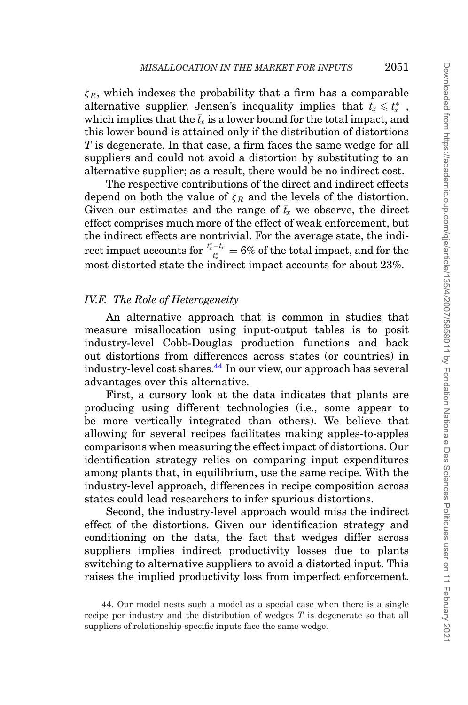$\zeta_R$ , which indexes the probability that a firm has a comparable alternative supplier. Jensen's inequality implies that  $\bar{t}_x \leq t_x^*$ , which implies that the  $\bar{t}_x$  is a lower bound for the total impact, and this lower bound is attained only if the distribution of distortions *T* is degenerate. In that case, a firm faces the same wedge for all suppliers and could not avoid a distortion by substituting to an alternative supplier; as a result, there would be no indirect cost.

The respective contributions of the direct and indirect effects depend on both the value of  $\zeta_R$  and the levels of the distortion. Given our estimates and the range of  $\bar{t}_x$  we observe, the direct effect comprises much more of the effect of weak enforcement, but the indirect effects are nontrivial. For the average state, the indi- $\text{rect impact accounts for } \frac{t^*_x - \bar{t}_x}{t^*_x} = 6\% \text{ of the total impact, and for the }$ most distorted state the indirect impact accounts for about 23%.

### *IV.F. The Role of Heterogeneity*

An alternative approach that is common in studies that measure misallocation using input-output tables is to posit industry-level Cobb-Douglas production functions and back out distortions from differences across states (or countries) in industry-level cost shares.[44](#page-44-0) In our view, our approach has several advantages over this alternative.

First, a cursory look at the data indicates that plants are producing using different technologies (i.e., some appear to be more vertically integrated than others). We believe that allowing for several recipes facilitates making apples-to-apples comparisons when measuring the effect impact of distortions. Our identification strategy relies on comparing input expenditures among plants that, in equilibrium, use the same recipe. With the industry-level approach, differences in recipe composition across states could lead researchers to infer spurious distortions.

Second, the industry-level approach would miss the indirect effect of the distortions. Given our identification strategy and conditioning on the data, the fact that wedges differ across suppliers implies indirect productivity losses due to plants switching to alternative suppliers to avoid a distorted input. This raises the implied productivity loss from imperfect enforcement.

<span id="page-44-0"></span><sup>44.</sup> Our model nests such a model as a special case when there is a single recipe per industry and the distribution of wedges *T* is degenerate so that all suppliers of relationship-specific inputs face the same wedge.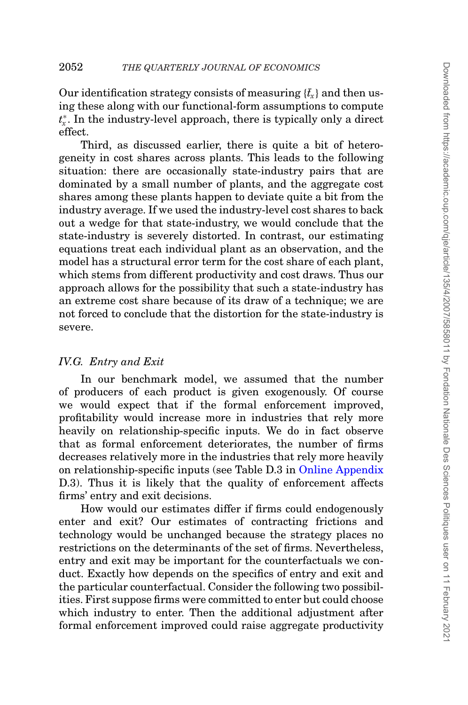Our identification strategy consists of measuring  $\{t_x\}$  and then using these along with our functional-form assumptions to compute *t*∗ *<sup>x</sup>* . In the industry-level approach, there is typically only a direct effect.

Third, as discussed earlier, there is quite a bit of heterogeneity in cost shares across plants. This leads to the following situation: there are occasionally state-industry pairs that are dominated by a small number of plants, and the aggregate cost shares among these plants happen to deviate quite a bit from the industry average. If we used the industry-level cost shares to back out a wedge for that state-industry, we would conclude that the state-industry is severely distorted. In contrast, our estimating equations treat each individual plant as an observation, and the model has a structural error term for the cost share of each plant, which stems from different productivity and cost draws. Thus our approach allows for the possibility that such a state-industry has an extreme cost share because of its draw of a technique; we are not forced to conclude that the distortion for the state-industry is severe.

# *IV.G. Entry and Exit*

In our benchmark model, we assumed that the number of producers of each product is given exogenously. Of course we would expect that if the formal enforcement improved, profitability would increase more in industries that rely more heavily on relationship-specific inputs. We do in fact observe that as formal enforcement deteriorates, the number of firms decreases relatively more in the industries that rely more heavily on relationship-specific inputs (see Table D.3 in [Online Appendix](file:qje.oxfordjournals.org) D.3). Thus it is likely that the quality of enforcement affects firms' entry and exit decisions.

How would our estimates differ if firms could endogenously enter and exit? Our estimates of contracting frictions and technology would be unchanged because the strategy places no restrictions on the determinants of the set of firms. Nevertheless, entry and exit may be important for the counterfactuals we conduct. Exactly how depends on the specifics of entry and exit and the particular counterfactual. Consider the following two possibilities. First suppose firms were committed to enter but could choose which industry to enter. Then the additional adjustment after formal enforcement improved could raise aggregate productivity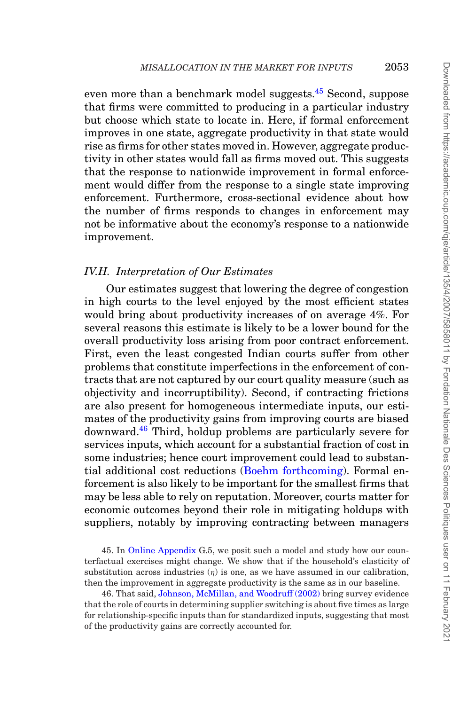even more than a benchmark model suggests.<sup>[45](#page-46-0)</sup> Second, suppose that firms were committed to producing in a particular industry but choose which state to locate in. Here, if formal enforcement improves in one state, aggregate productivity in that state would rise as firms for other states moved in. However, aggregate productivity in other states would fall as firms moved out. This suggests that the response to nationwide improvement in formal enforcement would differ from the response to a single state improving enforcement. Furthermore, cross-sectional evidence about how the number of firms responds to changes in enforcement may not be informative about the economy's response to a nationwide improvement.

# *IV.H. Interpretation of Our Estimates*

Our estimates suggest that lowering the degree of congestion in high courts to the level enjoyed by the most efficient states would bring about productivity increases of on average 4%. For several reasons this estimate is likely to be a lower bound for the overall productivity loss arising from poor contract enforcement. First, even the least congested Indian courts suffer from other problems that constitute imperfections in the enforcement of contracts that are not captured by our court quality measure (such as objectivity and incorruptibility). Second, if contracting frictions are also present for homogeneous intermediate inputs, our estimates of the productivity gains from improving courts are biased downward[.46](#page-46-1) Third, holdup problems are particularly severe for services inputs, which account for a substantial fraction of cost in some industries; hence court improvement could lead to substantial additional cost reductions [\(Boehm forthcoming\)](#page-49-14). Formal enforcement is also likely to be important for the smallest firms that may be less able to rely on reputation. Moreover, courts matter for economic outcomes beyond their role in mitigating holdups with suppliers, notably by improving contracting between managers

<span id="page-46-0"></span>45. In [Online Appendix](file:qje.oxfordjournals.org) G.5, we posit such a model and study how our counterfactual exercises might change. We show that if the household's elasticity of substitution across industries  $(\eta)$  is one, as we have assumed in our calibration, then the improvement in aggregate productivity is the same as in our baseline.

<span id="page-46-1"></span>46. That said, [Johnson, McMillan, and Woodruff \(2002\)](#page-49-17) bring survey evidence that the role of courts in determining supplier switching is about five times as large for relationship-specific inputs than for standardized inputs, suggesting that most of the productivity gains are correctly accounted for.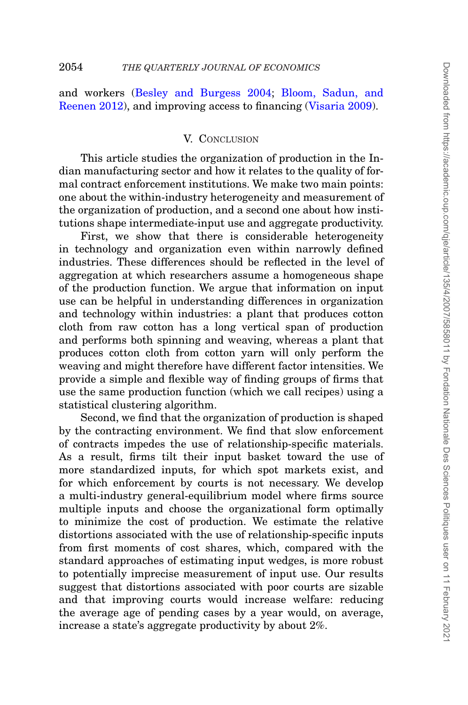and workers [\(Besley and Burgess 2004;](#page-48-14) [Bloom, Sadun, and](#page-49-22) [Reenen 2012\)](#page-49-22), and improving access to financing [\(Visaria 2009\)](#page-51-6).

### V. CONCLUSION

This article studies the organization of production in the Indian manufacturing sector and how it relates to the quality of formal contract enforcement institutions. We make two main points: one about the within-industry heterogeneity and measurement of the organization of production, and a second one about how institutions shape intermediate-input use and aggregate productivity.

First, we show that there is considerable heterogeneity in technology and organization even within narrowly defined industries. These differences should be reflected in the level of aggregation at which researchers assume a homogeneous shape of the production function. We argue that information on input use can be helpful in understanding differences in organization and technology within industries: a plant that produces cotton cloth from raw cotton has a long vertical span of production and performs both spinning and weaving, whereas a plant that produces cotton cloth from cotton yarn will only perform the weaving and might therefore have different factor intensities. We provide a simple and flexible way of finding groups of firms that use the same production function (which we call recipes) using a statistical clustering algorithm.

Second, we find that the organization of production is shaped by the contracting environment. We find that slow enforcement of contracts impedes the use of relationship-specific materials. As a result, firms tilt their input basket toward the use of more standardized inputs, for which spot markets exist, and for which enforcement by courts is not necessary. We develop a multi-industry general-equilibrium model where firms source multiple inputs and choose the organizational form optimally to minimize the cost of production. We estimate the relative distortions associated with the use of relationship-specific inputs from first moments of cost shares, which, compared with the standard approaches of estimating input wedges, is more robust to potentially imprecise measurement of input use. Our results suggest that distortions associated with poor courts are sizable and that improving courts would increase welfare: reducing the average age of pending cases by a year would, on average, increase a state's aggregate productivity by about 2%.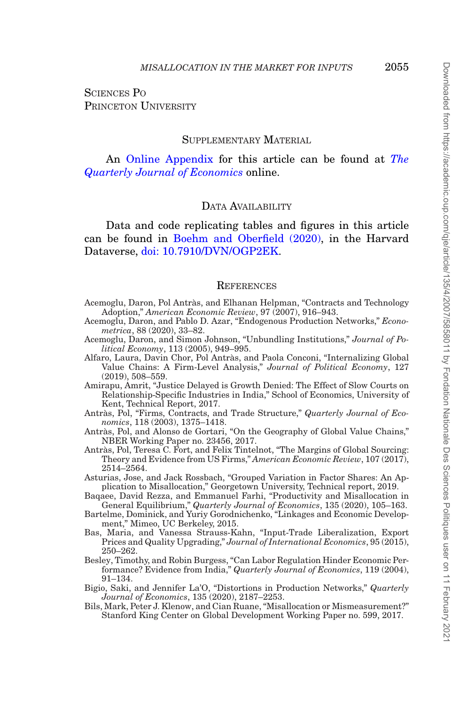SCIENCES PO PRINCETON UNIVERSITY

## SUPPLEMENTARY MATERIAL

An [Online Appendix](file:qje.oxfordjournals.org) for this article can be found at *[The](https://academic.oup.com/qje/article-lookup/doi/10.1093/qje/qjaa020#supplementary-data) [Quarterly Journal of Economics](https://academic.oup.com/qje/article-lookup/doi/10.1093/qje/qjaa020#supplementary-data)* online.

## DATA AVAILABILITY

Data and code replicating tables and figures in this article can be found in [Boehm and Oberfield \(2020\),](#page-49-23) in the Harvard Dataverse, [doi: 10.7910/DVN/OGP2EK.](doi:10.7910/DVN/OGP2EK)

#### **REFERENCES**

- <span id="page-48-8"></span>Acemoglu, Daron, Pol Antràs, and Elhanan Helpman, "Contracts and Technology Adoption," *American Economic Review*, 97 (2007), 916–943.
- <span id="page-48-0"></span>Acemoglu, Daron, and Pablo D. Azar, "Endogenous Production Networks," *Econometrica*, 88 (2020), 33–82.
- <span id="page-48-7"></span>Acemoglu, Daron, and Simon Johnson, "Unbundling Institutions," *Journal of Political Economy*, 113 (2005), 949–995.
- <span id="page-48-12"></span>Alfaro, Laura, Davin Chor, Pol Antras, and Paola Conconi, "Internalizing Global ` Value Chains: A Firm-Level Analysis," *Journal of Political Economy*, 127 (2019), 508–559.
- <span id="page-48-11"></span>Amirapu, Amrit, "Justice Delayed is Growth Denied: The Effect of Slow Courts on Relationship-Specific Industries in India," School of Economics, University of Kent, Technical Report, 2017.
- <span id="page-48-13"></span>Antràs, Pol, "Firms, Contracts, and Trade Structure," Quarterly Journal of Eco*nomics*, 118 (2003), 1375–1418.
- <span id="page-48-1"></span>Antràs, Pol, and Alonso de Gortari, "On the Geography of Global Value Chains," NBER Working Paper no. 23456, 2017.
- <span id="page-48-2"></span>Antràs, Pol, Teresa C. Fort, and Felix Tintelnot, "The Margins of Global Sourcing: Theory and Evidence from US Firms," *American Economic Review*, 107 (2017), 2514–2564.
- <span id="page-48-9"></span>Asturias, Jose, and Jack Rossbach, "Grouped Variation in Factor Shares: An Application to Misallocation," Georgetown University, Technical report, 2019.
- <span id="page-48-5"></span>Baqaee, David Rezza, and Emmanuel Farhi, "Productivity and Misallocation in General Equilibrium," *Quarterly Journal of Economics*, 135 (2020), 105–163.
- <span id="page-48-4"></span>Bartelme, Dominick, and Yuriy Gorodnichenko, "Linkages and Economic Development," Mimeo, UC Berkeley, 2015.
- <span id="page-48-3"></span>Bas, Maria, and Vanessa Strauss-Kahn, "Input-Trade Liberalization, Export Prices and Quality Upgrading," *Journal of International Economics*, 95 (2015), 250–262.
- <span id="page-48-14"></span>Besley, Timothy, and Robin Burgess, "Can Labor Regulation Hinder Economic Performance? Evidence from India," *Quarterly Journal of Economics*, 119 (2004), 91–134.
- <span id="page-48-6"></span>Bigio, Saki, and Jennifer La'O, "Distortions in Production Networks," *Quarterly Journal of Economics*, 135 (2020), 2187–2253.
- <span id="page-48-10"></span>Bils, Mark, Peter J. Klenow, and Cian Ruane, "Misallocation or Mismeasurement?" Stanford King Center on Global Development Working Paper no. 599, 2017.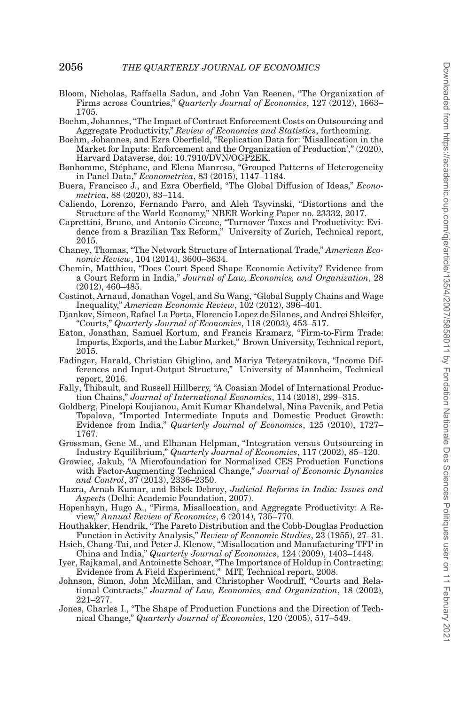- <span id="page-49-22"></span>Bloom, Nicholas, Raffaella Sadun, and John Van Reenen, "The Organization of Firms across Countries," *Quarterly Journal of Economics*, 127 (2012), 1663– 1705.
- <span id="page-49-14"></span>Boehm, Johannes, "The Impact of Contract Enforcement Costs on Outsourcing and Aggregate Productivity," *Review of Economics and Statistics*, forthcoming.
- <span id="page-49-23"></span>Boehm, Johannes, and Ezra Oberfield, "Replication Data for: 'Misallocation in the Market for Inputs: Enforcement and the Organization of Production'," (2020), Harvard Dataverse, doi: 10.7910/DVN/OGP2EK.
- <span id="page-49-1"></span>Bonhomme, Stephane, and Elena Manresa, "Grouped Patterns of Heterogeneity ´ in Panel Data," *Econometrica*, 83 (2015), 1147–1184.
- <span id="page-49-20"></span>Buera, Francisco J., and Ezra Oberfield, "The Global Diffusion of Ideas," *Econometrica*, 88 (2020), 83–114.
- <span id="page-49-13"></span>Caliendo, Lorenzo, Fernando Parro, and Aleh Tsyvinski, "Distortions and the Structure of the World Economy," NBER Working Paper no. 23332, 2017.
- <span id="page-49-11"></span>Caprettini, Bruno, and Antonio Ciccone, "Turnover Taxes and Productivity: Evidence from a Brazilian Tax Reform," University of Zurich, Technical report, 2015.
- <span id="page-49-3"></span>Chaney, Thomas, "The Network Structure of International Trade," *American Economic Review*, 104 (2014), 3600–3634.
- <span id="page-49-16"></span>Chemin, Matthieu, "Does Court Speed Shape Economic Activity? Evidence from a Court Reform in India," *Journal of Law, Economics, and Organization*, 28 (2012), 460–485.
- <span id="page-49-5"></span>Costinot, Arnaud, Jonathan Vogel, and Su Wang, "Global Supply Chains and Wage Inequality," *American Economic Review*, 102 (2012), 396–401.
- <span id="page-49-15"></span>Djankov, Simeon, Rafael La Porta, Florencio Lopez de Silanes, and Andrei Shleifer, "Courts," *Quarterly Journal of Economics*, 118 (2003), 453–517.
- <span id="page-49-2"></span>Eaton, Jonathan, Samuel Kortum, and Francis Kramarz, "Firm-to-Firm Trade: Imports, Exports, and the Labor Market," Brown University, Technical report, 2015.
- <span id="page-49-12"></span>Fadinger, Harald, Christian Ghiglino, and Mariya Teteryatnikova, "Income Differences and Input-Output Structure," University of Mannheim, Technical report, 2016.
- <span id="page-49-6"></span>Fally, Thibault, and Russell Hillberry, "A Coasian Model of International Production Chains," *Journal of International Economics*, 114 (2018), 299–315.
- <span id="page-49-7"></span>Goldberg, Pinelopi Koujianou, Amit Kumar Khandelwal, Nina Pavcnik, and Petia Topalova, "Imported Intermediate Inputs and Domestic Product Growth: Evidence from India," *Quarterly Journal of Economics*, 125 (2010), 1727– 1767.
- <span id="page-49-8"></span>Grossman, Gene M., and Elhanan Helpman, "Integration versus Outsourcing in Industry Equilibrium," *Quarterly Journal of Economics*, 117 (2002), 85–120.
- <span id="page-49-21"></span>Growiec, Jakub, "A Microfoundation for Normalized CES Production Functions with Factor-Augmenting Technical Change," *Journal of Economic Dynamics and Control*, 37 (2013), 2336–2350.
- <span id="page-49-19"></span>Hazra, Arnab Kumar, and Bibek Debroy, *Judicial Reforms in India: Issues and Aspects* (Delhi: Academic Foundation, 2007).
- <span id="page-49-10"></span>Hopenhayn, Hugo A., "Firms, Misallocation, and Aggregate Productivity: A Review," *Annual Review of Economics*, 6 (2014), 735–770.
- <span id="page-49-0"></span>Houthakker, Hendrik, "The Pareto Distribution and the Cobb-Douglas Production Function in Activity Analysis," *Review of Economic Studies*, 23 (1955), 27–31.
- <span id="page-49-9"></span>Hsieh, Chang-Tai, and Peter J. Klenow, "Misallocation and Manufacturing TFP in China and India," *Quarterly Journal of Economics*, 124 (2009), 1403–1448.
- <span id="page-49-18"></span>Iyer, Rajkamal, and Antoinette Schoar, "The Importance of Holdup in Contracting: Evidence from A Field Experiment," MIT, Technical report, 2008.
- <span id="page-49-17"></span>Johnson, Simon, John McMillan, and Christopher Woodruff, "Courts and Relational Contracts," *Journal of Law, Economics, and Organization*, 18 (2002), 221–277.
- <span id="page-49-4"></span>Jones, Charles I., "The Shape of Production Functions and the Direction of Technical Change," *Quarterly Journal of Economics*, 120 (2005), 517–549.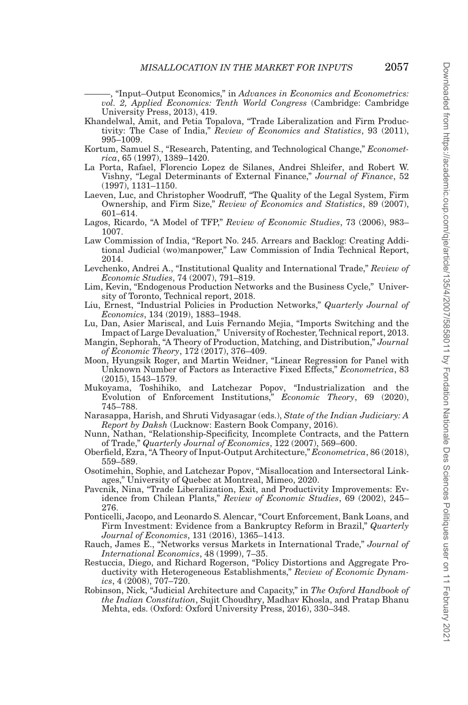<span id="page-50-8"></span>———, "Input–Output Economics," in *Advances in Economics and Econometrics: vol. 2, Applied Economics: Tenth World Congress* (Cambridge: Cambridge University Press, 2013), 419.

- <span id="page-50-6"></span>Khandelwal, Amit, and Petia Topalova, "Trade Liberalization and Firm Productivity: The Case of India," *Review of Economics and Statistics*, 93 (2011), 995–1009.
- <span id="page-50-20"></span>Kortum, Samuel S., "Research, Patenting, and Technological Change," *Econometrica*, 65 (1997), 1389–1420.
- <span id="page-50-11"></span>La Porta, Rafael, Florencio Lopez de Silanes, Andrei Shleifer, and Robert W. Vishny, "Legal Determinants of External Finance," *Journal of Finance*, 52 (1997), 1131–1150.
- <span id="page-50-14"></span>Laeven, Luc, and Christopher Woodruff, "The Quality of the Legal System, Firm Ownership, and Firm Size," *Review of Economics and Statistics*, 89 (2007), 601–614.
- <span id="page-50-21"></span>Lagos, Ricardo, "A Model of TFP," *Review of Economic Studies*, 73 (2006), 983– 1007.
- <span id="page-50-19"></span>Law Commission of India, "Report No. 245. Arrears and Backlog: Creating Additional Judicial (wo)manpower," Law Commission of India Technical Report, 2014.
- <span id="page-50-13"></span>Levchenko, Andrei A., "Institutional Quality and International Trade," *Review of Economic Studies*, 74 (2007), 791–819.
- <span id="page-50-3"></span>Lim, Kevin, "Endogenous Production Networks and the Business Cycle," University of Toronto, Technical report, 2018.
- <span id="page-50-9"></span>Liu, Ernest, "Industrial Policies in Production Networks," *Quarterly Journal of Economics*, 134 (2019), 1883–1948.
- <span id="page-50-4"></span>Lu, Dan, Asier Mariscal, and Luis Fernando Mejia, "Imports Switching and the Impact of Large Devaluation," University of Rochester, Technical report, 2013.
- <span id="page-50-22"></span>Mangin, Sephorah, "A Theory of Production, Matching, and Distribution," *Journal of Economic Theory*, 172 (2017), 376–409.
- <span id="page-50-1"></span>Moon, Hyungsik Roger, and Martin Weidner, "Linear Regression for Panel with Unknown Number of Factors as Interactive Fixed Effects," *Econometrica*, 83 (2015), 1543–1579.
- <span id="page-50-15"></span>Mukoyama, Toshihiko, and Latchezar Popov, "Industrialization and the Evolution of Enforcement Institutions," *Economic Theory*, 69 (2020), 745–788.
- <span id="page-50-18"></span>Narasappa, Harish, and Shruti Vidyasagar (eds.), *State of the Indian Judiciary: A Report by Daksh* (Lucknow: Eastern Book Company, 2016).
- <span id="page-50-12"></span>Nunn, Nathan, "Relationship-Specificity, Incomplete Contracts, and the Pattern of Trade," *Quarterly Journal of Economics*, 122 (2007), 569–600.
- <span id="page-50-2"></span>Oberfield, Ezra, "A Theory of Input-Output Architecture," *Econometrica*, 86 (2018), 559–589.
- <span id="page-50-10"></span>Osotimehin, Sophie, and Latchezar Popov, "Misallocation and Intersectoral Linkages," University of Quebec at Montreal, Mimeo, 2020.
- <span id="page-50-5"></span>Pavcnik, Nina, "Trade Liberalization, Exit, and Productivity Improvements: Evidence from Chilean Plants," *Review of Economic Studies*, 69 (2002), 245– 276.
- <span id="page-50-16"></span>Ponticelli, Jacopo, and Leonardo S. Alencar, "Court Enforcement, Bank Loans, and Firm Investment: Evidence from a Bankruptcy Reform in Brazil," *Quarterly Journal of Economics*, 131 (2016), 1365–1413.
- <span id="page-50-0"></span>Rauch, James E., "Networks versus Markets in International Trade," *Journal of International Economics*, 48 (1999), 7–35.
- <span id="page-50-7"></span>Restuccia, Diego, and Richard Rogerson, "Policy Distortions and Aggregate Productivity with Heterogeneous Establishments," *Review of Economic Dynamics*, 4 (2008), 707–720.
- <span id="page-50-17"></span>Robinson, Nick, "Judicial Architecture and Capacity," in *The Oxford Handbook of the Indian Constitution*, Sujit Choudhry, Madhav Khosla, and Pratap Bhanu Mehta, eds. (Oxford: Oxford University Press, 2016), 330–348.